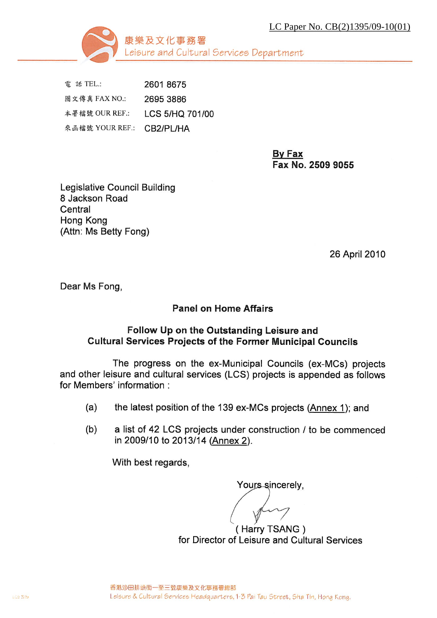LC Paper No. CB(2)1395/09-10(01)



電 話 TEL.: 2601 8675 圖文傳真 FAX NO.: 2695 3886 本署檔號 OUR REF.: LCS 5/HQ 701/00 來函檔號 YOUR REF.: CB2/PL/HA

> By Fax Fax No. 2509 9055

**Legislative Council Building** 8 Jackson Road Central Hong Kong (Attn: Ms Betty Fong)

26 April 2010

Dear Ms Fong,

#### **Panel on Home Affairs**

#### Follow Up on the Outstanding Leisure and **Cultural Services Projects of the Former Municipal Councils**

The progress on the ex-Municipal Councils (ex-MCs) projects and other leisure and cultural services (LCS) projects is appended as follows for Members' information :

- the latest position of the 139 ex-MCs projects (Annex 1); and  $(a)$
- $(b)$ a list of 42 LCS projects under construction / to be commenced in 2009/10 to 2013/14 (Annex 2).

With best regards.

Yours sincerely,

(Harry TSANG) for Director of Leisure and Cultural Services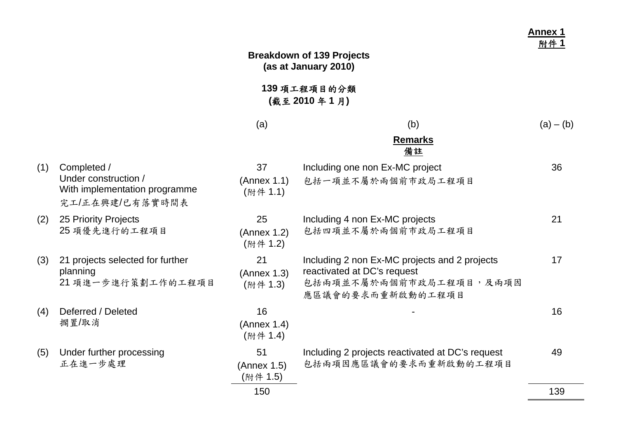|     |                                                                                         |                               | <b>Breakdown of 139 Projects</b><br>(as at January 2010)                                                                     | <b>Annex 1</b><br>附件? |
|-----|-----------------------------------------------------------------------------------------|-------------------------------|------------------------------------------------------------------------------------------------------------------------------|-----------------------|
|     |                                                                                         |                               | 139 項工程項目的分類<br>(截至2010年1月)                                                                                                  |                       |
|     |                                                                                         | (a)                           | (b)                                                                                                                          | $(a) - (b)$           |
|     |                                                                                         |                               | <b>Remarks</b><br>備註                                                                                                         |                       |
| (1) | Completed /<br>Under construction /<br>With implementation programme<br>完工/正在興建/已有落實時間表 | 37<br>(Annex 1.1)<br>(附件 1.1) | Including one non Ex-MC project<br>包括一項並不屬於兩個前市政局工程項目                                                                        | 36                    |
| (2) | 25 Priority Projects<br>25 項優先進行的工程項目                                                   | 25<br>(Annex 1.2)<br>(附件 1.2) | Including 4 non Ex-MC projects<br>包括四項並不屬於兩個前市政局工程項目                                                                         | 21                    |
| (3) | 21 projects selected for further<br>planning<br>21 項進一步進行策劃工作的工程項目                      | 21<br>(Annex 1.3)<br>(附件 1.3) | Including 2 non Ex-MC projects and 2 projects<br>reactivated at DC's request<br>包括兩項並不屬於兩個前市政局工程項目,及兩項因<br>應區議會的要求而重新啟動的工程項目 | 17                    |
| (4) | Deferred / Deleted<br>擱置/取消                                                             | 16<br>(Annex 1.4)<br>(附件 1.4) |                                                                                                                              | 16                    |
| (5) | Under further processing<br>正在進一步處理                                                     | 51<br>(Annex 1.5)<br>(附件 1.5) | Including 2 projects reactivated at DC's request<br>包括兩項因應區議會的要求而重新啟動的工程項目                                                   | 49                    |
|     |                                                                                         | 150                           |                                                                                                                              | 139                   |

 $\overline{\phantom{0}}$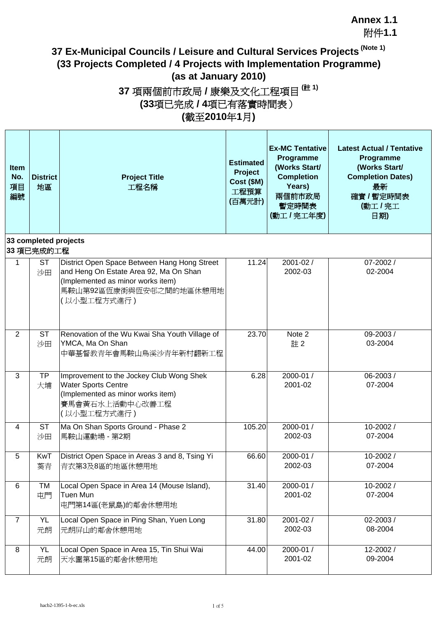附件**1.1**

## **37 Ex-Municipal Councils / Leisure and Cultural Services Projects (Note 1) (33 Projects Completed / 4 Projects with Implementation Programme) (as at January 2010)**

## **37** 項兩個前市政局 **/** 康樂及文化工程項目 **(**註 **1) (33**項已完成 **/ 4**項已有落實時間表) **(**截至**2010**年**1**月**)**

| <b>Item</b><br>No.<br>項目<br>編號 | <b>District</b><br>地區         | <b>Project Title</b><br>工程名稱                                                                                                                                          | <b>Estimated</b><br><b>Project</b><br>Cost (\$M)<br>工程預算<br>(百萬元計) | <b>Ex-MC Tentative</b><br>Programme<br>(Works Start/<br><b>Completion</b><br>Years)<br>兩個前市政局<br>暫定時間表<br>(動工/完工年度) | <b>Latest Actual / Tentative</b><br>Programme<br>(Works Start/<br><b>Completion Dates)</b><br>最新<br>確實 / 暫定時間表<br>(動工/完工<br>日期) |
|--------------------------------|-------------------------------|-----------------------------------------------------------------------------------------------------------------------------------------------------------------------|--------------------------------------------------------------------|---------------------------------------------------------------------------------------------------------------------|---------------------------------------------------------------------------------------------------------------------------------|
|                                | 33 completed projects         |                                                                                                                                                                       |                                                                    |                                                                                                                     |                                                                                                                                 |
| 1                              | 33 項已完成的工程<br><b>ST</b><br>沙田 | District Open Space Between Hang Hong Street<br>and Heng On Estate Area 92, Ma On Shan<br>(Implemented as minor works item)<br>馬鞍山第92區恆康街與恆安邨之間的地區休憩用地<br>(以小型工程方式進行) | 11.24                                                              | 2001-02 /<br>2002-03                                                                                                | 07-2002 /<br>02-2004                                                                                                            |
| $\overline{2}$                 | <b>ST</b><br>沙田               | Renovation of the Wu Kwai Sha Youth Village of<br>YMCA, Ma On Shan<br>中華基督教青年會馬鞍山烏溪沙青年新村翻新工程                                                                          | 23.70                                                              | Note 2<br>註2                                                                                                        | 09-2003 /<br>03-2004                                                                                                            |
| 3                              | <b>TP</b><br>大埔               | Improvement to the Jockey Club Wong Shek<br><b>Water Sports Centre</b><br>(Implemented as minor works item)<br>賽馬會黃石水上活動中心改善工程<br>(以小型工程方式進行)                         | 6.28                                                               | 2000-01 /<br>2001-02                                                                                                | 06-2003/<br>07-2004                                                                                                             |
| 4                              | <b>ST</b><br>沙田               | Ma On Shan Sports Ground - Phase 2<br>馬鞍山運動場 - 第2期                                                                                                                    | 105.20                                                             | 2000-01 /<br>2002-03                                                                                                | 10-2002/<br>07-2004                                                                                                             |
| 5                              | KwT<br>葵青                     | District Open Space in Areas 3 and 8, Tsing Yi<br>青衣第3及8區的地區休憩用地                                                                                                      | 66.60                                                              | 2000-01 /<br>2002-03                                                                                                | 10-2002/<br>07-2004                                                                                                             |
| 6                              | <b>TM</b><br>屯門               | Local Open Space in Area 14 (Mouse Island),<br>Tuen Mun<br>屯門第14區(老鼠島)的鄰舍休憩用地                                                                                         | 31.40                                                              | 2000-01 /<br>2001-02                                                                                                | 10-2002/<br>07-2004                                                                                                             |
| $\overline{7}$                 | <b>YL</b><br>元朗               | Local Open Space in Ping Shan, Yuen Long<br>元朗屏山的鄰舍休憩用地                                                                                                               | 31.80                                                              | 2001-02 /<br>2002-03                                                                                                | 02-2003 /<br>08-2004                                                                                                            |
| 8                              | YL<br>元朗                      | Local Open Space in Area 15, Tin Shui Wai<br>天水圍第15區的鄰舍休憩用地                                                                                                           | 44.00                                                              | 2000-01 /<br>2001-02                                                                                                | 12-2002 /<br>09-2004                                                                                                            |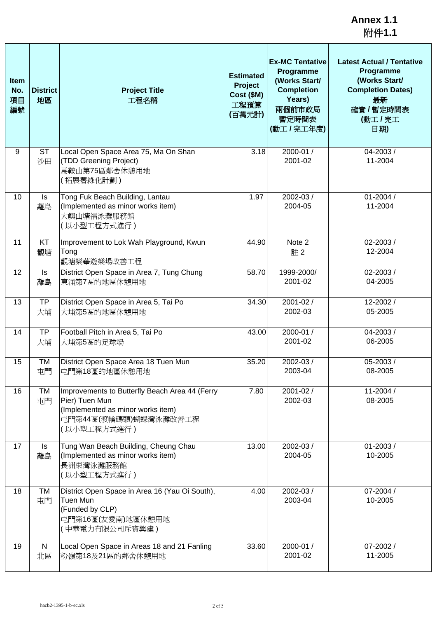| <b>Item</b><br>No.<br>項目<br>編號 | <b>District</b><br>地區 | <b>Project Title</b><br>工程名稱                                                                                                                  | <b>Estimated</b><br>Project<br>Cost (\$M)<br>工程預算<br>(百萬元計) | <b>Ex-MC Tentative</b><br>Programme<br>(Works Start/<br><b>Completion</b><br>Years)<br>兩個前市政局<br>暫定時間表<br>(動工/完工年度) | <b>Latest Actual / Tentative</b><br>Programme<br>(Works Start/<br><b>Completion Dates)</b><br>最新<br>確實 / 暫定時間表<br>(動工/完工<br>日期) |
|--------------------------------|-----------------------|-----------------------------------------------------------------------------------------------------------------------------------------------|-------------------------------------------------------------|---------------------------------------------------------------------------------------------------------------------|---------------------------------------------------------------------------------------------------------------------------------|
| 9                              | <b>ST</b><br>沙田       | Local Open Space Area 75, Ma On Shan<br>(TDD Greening Project)<br>馬鞍山第75區鄰舍休憩用地<br>(拓展署綠化計劃)                                                  | 3.18                                                        | 2000-01 /<br>2001-02                                                                                                | 04-2003 /<br>11-2004                                                                                                            |
| 10                             | Is<br>離島              | Tong Fuk Beach Building, Lantau<br>(Implemented as minor works item)<br>大嶼山塘福泳灘服務館<br>(以小型工程方式進行)                                             | 1.97                                                        | 2002-03 /<br>2004-05                                                                                                | $01 - 2004/$<br>11-2004                                                                                                         |
| 11                             | KT<br>觀塘              | Improvement to Lok Wah Playground, Kwun<br>Tong<br>觀塘樂華遊樂場改善工程                                                                                | 44.90                                                       | Note 2<br>註2                                                                                                        | 02-2003 /<br>12-2004                                                                                                            |
| 12                             | Is<br>離島              | District Open Space in Area 7, Tung Chung<br>東涌第7區的地區休憩用地                                                                                     | 58.70                                                       | 1999-2000/<br>2001-02                                                                                               | 02-2003/<br>04-2005                                                                                                             |
| 13                             | <b>TP</b><br>大埔       | District Open Space in Area 5, Tai Po<br>大埔第5區的地區休憩用地                                                                                         | 34.30                                                       | 2001-02 /<br>2002-03                                                                                                | 12-2002 /<br>05-2005                                                                                                            |
| 14                             | <b>TP</b><br>大埔       | Football Pitch in Area 5, Tai Po<br>大埔第5區的足球場                                                                                                 | 43.00                                                       | 2000-01 /<br>2001-02                                                                                                | 04-2003 /<br>06-2005                                                                                                            |
| 15                             | TM<br>屯門              | District Open Space Area 18 Tuen Mun<br>屯門第18區的地區休憩用地                                                                                         | 35.20                                                       | 2002-03 /<br>2003-04                                                                                                | 05-2003 /<br>08-2005                                                                                                            |
| 16                             | TM<br>屯門              | Improvements to Butterfly Beach Area 44 (Ferry<br>Pier) Tuen Mun<br>(Implemented as minor works item)<br>屯門第44區(渡輪碼頭)蝴蝶灣泳灘改善工程<br>(以小型工程方式進行) | 7.80                                                        | 2001-02 /<br>2002-03                                                                                                | 11-2004 /<br>08-2005                                                                                                            |
| 17                             | Is<br>離島              | Tung Wan Beach Building, Cheung Chau<br>(Implemented as minor works item)<br>長洲東灣泳灘服務館<br>(以小型工程方式進行)                                         | 13.00                                                       | 2002-03 /<br>2004-05                                                                                                | 01-2003/<br>10-2005                                                                                                             |
| 18                             | TM<br>屯門              | District Open Space in Area 16 (Yau Oi South),<br>Tuen Mun<br>(Funded by CLP)<br>屯門第16區(友愛南)地區休憩用地<br>(中華電力有限公司斥資興建)                          | 4.00                                                        | 2002-03 /<br>2003-04                                                                                                | 07-2004 /<br>10-2005                                                                                                            |
| 19                             | ${\sf N}$<br>北區       | Local Open Space in Areas 18 and 21 Fanling<br>粉嶺第18及21區的鄰舍休憩用地                                                                               | 33.60                                                       | 2000-01 /<br>2001-02                                                                                                | 07-2002 /<br>11-2005                                                                                                            |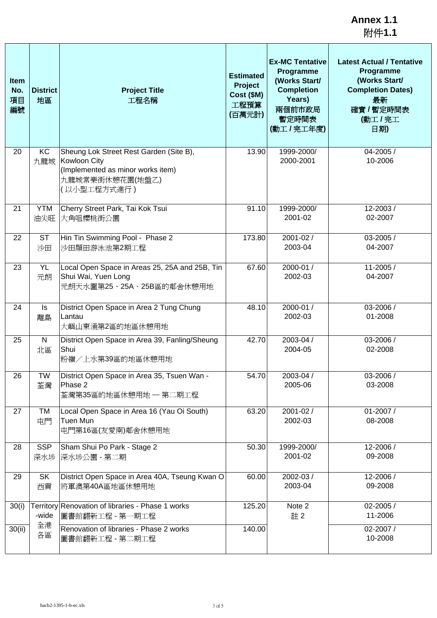**Annex 1.1** 附件**1.1**

| <b>Item</b><br>No.<br>項目<br>編號 | <b>District</b><br>地區 | <b>Project Title</b><br>工程名稱                                                                                                   | <b>Estimated</b><br>Project<br>Cost (\$M)<br>工程預算<br>(百萬元計) | <b>Ex-MC Tentative</b><br>Programme<br>(Works Start/<br><b>Completion</b><br>Years)<br>兩個前市政局<br>暫定時間表<br>(動工/完工年度) | <b>Latest Actual / Tentative</b><br>Programme<br>(Works Start/<br><b>Completion Dates)</b><br>最新<br>確實 / 暫定時間表<br>(動工/完工<br>日期) |
|--------------------------------|-----------------------|--------------------------------------------------------------------------------------------------------------------------------|-------------------------------------------------------------|---------------------------------------------------------------------------------------------------------------------|---------------------------------------------------------------------------------------------------------------------------------|
| 20                             | KC<br>九龍城             | Sheung Lok Street Rest Garden (Site B),<br>Kowloon City<br>(Implemented as minor works item)<br>九龍城常樂街休憩花園(地盤乙)<br>(以小型工程方式進行) | 13.90                                                       | 1999-2000/<br>2000-2001                                                                                             | 04-2005 /<br>10-2006                                                                                                            |
| 21                             | <b>YTM</b><br>油尖旺     | Cherry Street Park, Tai Kok Tsui<br>大角咀櫻桃街公園                                                                                   | 91.10                                                       | 1999-2000/<br>2001-02                                                                                               | 12-2003/<br>02-2007                                                                                                             |
| 22                             | <b>ST</b><br>沙田       | Hin Tin Swimming Pool - Phase 2<br>沙田顯田游泳池第2期工程                                                                                | 173.80                                                      | 2001-02 /<br>2003-04                                                                                                | 03-2005 /<br>04-2007                                                                                                            |
| 23                             | <b>YL</b><br>元朗       | Local Open Space in Areas 25, 25A and 25B, Tin<br>Shui Wai, Yuen Long<br>元朗天水圍第25、25A、25B區的鄰舍休憩用地                              | 67.60                                                       | 2000-01 /<br>2002-03                                                                                                | 11-2005 /<br>04-2007                                                                                                            |
| 24                             | Is<br>離島              | District Open Space in Area 2 Tung Chung<br>Lantau<br>大嶼山東涌第2區的地區休憩用地                                                          | 48.10                                                       | 2000-01 /<br>2002-03                                                                                                | 03-2006 /<br>01-2008                                                                                                            |
| 25                             | N<br>北區               | District Open Space in Area 39, Fanling/Sheung<br>Shui<br>粉嶺/上水第39區的地區休憩用地                                                     | 42.70                                                       | 2003-04 /<br>2004-05                                                                                                | 03-2006 /<br>02-2008                                                                                                            |
| 26                             | <b>TW</b><br>荃灣       | District Open Space in Area 35, Tsuen Wan -<br>Phase 2<br>荃灣第35區的地區休憩用地 一 第二期工程                                                | 54.70                                                       | 2003-04 /<br>2005-06                                                                                                | 03-2006 /<br>03-2008                                                                                                            |
| 27                             | TM<br>屯門              | Local Open Space in Area 16 (Yau Oi South)<br>Tuen Mun<br>屯門第16區(友愛南)鄰舍休憩用地                                                    | 63.20                                                       | 2001-02 /<br>2002-03                                                                                                | 01-2007 /<br>08-2008                                                                                                            |
| 28                             | <b>SSP</b><br>深水埗     | Sham Shui Po Park - Stage 2<br>深水埗公園 - 第二期                                                                                     | 50.30                                                       | 1999-2000/<br>2001-02                                                                                               | 12-2006 /<br>09-2008                                                                                                            |
| 29                             | SK<br>西貢              | District Open Space in Area 40A, Tseung Kwan O<br>將軍澳第40A區地區休憩用地                                                               | 60.00                                                       | 2002-03 /<br>2003-04                                                                                                | 12-2006 /<br>09-2008                                                                                                            |
| 30(i)                          | -wide                 | Territory Renovation of libraries - Phase 1 works<br>圖書館翻新工程 - 第一期工程                                                           | 125.20                                                      | Note 2<br>註2                                                                                                        | 02-2005 /<br>11-2006                                                                                                            |
| 30(ii)                         | 全港<br>各區              | Renovation of libraries - Phase 2 works<br>圖書館翻新工程 - 第二期工程                                                                     | 140.00                                                      |                                                                                                                     | 02-2007 /<br>10-2008                                                                                                            |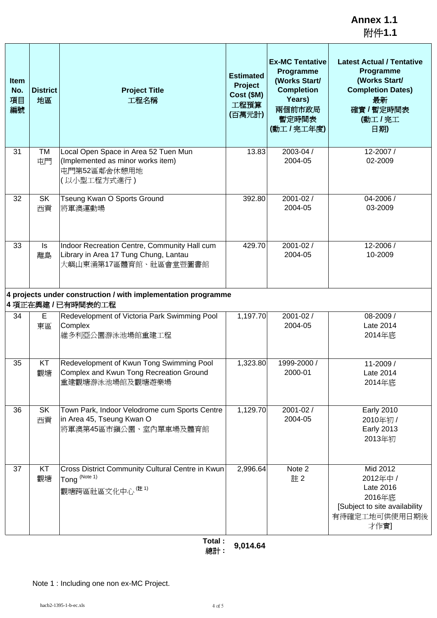**Annex 1.1** 附件**1.1**

| <b>Item</b><br>No.<br>項目<br>編號 | <b>District</b><br>地區 | <b>Project Title</b><br>工程名稱                                                                                                                                                    | <b>Estimated</b><br>Project<br>Cost (\$M)<br>工程預算<br>(百萬元計) | <b>Ex-MC Tentative</b><br>Programme<br>(Works Start/<br><b>Completion</b><br>Years)<br>兩個前市政局<br>暫定時間表<br>(動工 / 完工年度) | <b>Latest Actual / Tentative</b><br>Programme<br>(Works Start/<br><b>Completion Dates)</b><br>最新<br>確實 / 暫定時間表<br>(動工/完工<br>日期) |
|--------------------------------|-----------------------|---------------------------------------------------------------------------------------------------------------------------------------------------------------------------------|-------------------------------------------------------------|-----------------------------------------------------------------------------------------------------------------------|---------------------------------------------------------------------------------------------------------------------------------|
| 31                             | TM<br>屯門              | Local Open Space in Area 52 Tuen Mun<br>(Implemented as minor works item)<br>屯門第52區鄰舍休憩用地<br>(以小型工程方式進行)                                                                        | 13.83                                                       | 2003-04 /<br>2004-05                                                                                                  | 12-2007/<br>02-2009                                                                                                             |
| 32                             | <b>SK</b><br>西貢       | Tseung Kwan O Sports Ground<br>將軍澳運動場                                                                                                                                           | 392.80                                                      | 2001-02 /<br>2004-05                                                                                                  | 04-2006 /<br>03-2009                                                                                                            |
| 33                             | Is<br>離島              | Indoor Recreation Centre, Community Hall cum<br>Library in Area 17 Tung Chung, Lantau<br>大嶼山東涌第17區體育館、社區會堂暨圖書館<br>4 projects under construction / with implementation programme | 429.70                                                      | 2001-02 /<br>2004-05                                                                                                  | 12-2006 /<br>10-2009                                                                                                            |
|                                |                       | 4項正在興建/已有時間表的工程                                                                                                                                                                 |                                                             |                                                                                                                       |                                                                                                                                 |
| 34                             | E<br>東區               | Redevelopment of Victoria Park Swimming Pool<br>Complex<br>維多利亞公園游泳池場館重建工程                                                                                                      | 1,197.70                                                    | 2001-02 /<br>2004-05                                                                                                  | 08-2009 /<br>Late 2014<br>2014年底                                                                                                |
| 35                             | KT<br>觀塘              | Redevelopment of Kwun Tong Swimming Pool<br>Complex and Kwun Tong Recreation Ground<br>重建觀塘游泳池場館及觀塘遊樂場                                                                          | 1,323.80                                                    | 1999-2000 /<br>2000-01                                                                                                | 11-2009 /<br>Late 2014<br>2014年底                                                                                                |
| 36                             | SK<br>西貢              | Town Park, Indoor Velodrome cum Sports Centre<br>in Area 45, Tseung Kwan O<br>將軍澳第45區市鎭公園、室內單車場及體育館                                                                             | 1,129.70                                                    | 2001-02 /<br>2004-05                                                                                                  | <b>Early 2010</b><br>2010年初 /<br><b>Early 2013</b><br>2013年初                                                                    |
| 37                             | KT<br>觀塘              | Cross District Community Cultural Centre in Kwun<br>Tong (Note 1)<br>觀塘跨區社區文化中心(註1)<br>$T = 1 - 1$                                                                              | 2,996.64                                                    | Note 2<br>註2                                                                                                          | Mid 2012<br>2012年中 /<br>Late 2016<br>2016年底<br>[Subject to site availability<br>有待確定工地可供使用日期後<br>才作實]                           |

Note 1 : Including one non ex-MC Project.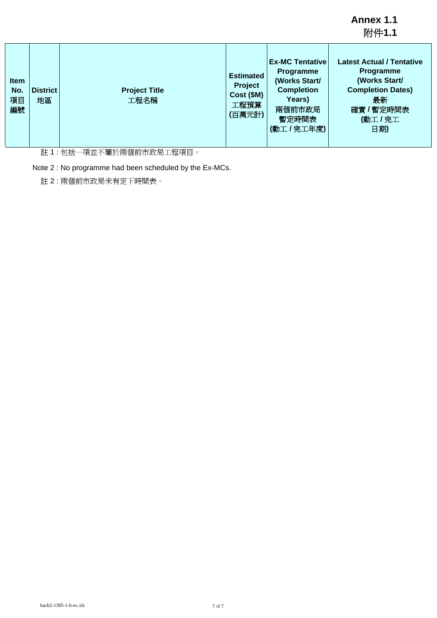**Annex 1.1** 附件**1.1**

| <b>Item</b><br>No.<br>項目<br>編號 | <b>District</b><br>地區 | <b>Project Title</b><br>工程名稱 | <b>Estimated</b><br>Project<br>Cost (\$M)<br>工程預算<br>(百萬元計) | <b>Ex-MC Tentative</b><br><b>Programme</b><br>(Works Start/<br><b>Completion</b><br>Years)<br>兩個前市政局<br>暫定時間表<br>(動工/完工年度) | <b>Latest Actual / Tentative</b><br>Programme<br>(Works Start/<br><b>Completion Dates)</b><br>最新<br>確實 / 暫定時間表<br>(動工/完工<br>日期) |
|--------------------------------|-----------------------|------------------------------|-------------------------------------------------------------|----------------------------------------------------------------------------------------------------------------------------|---------------------------------------------------------------------------------------------------------------------------------|
|--------------------------------|-----------------------|------------------------------|-------------------------------------------------------------|----------------------------------------------------------------------------------------------------------------------------|---------------------------------------------------------------------------------------------------------------------------------|

註 1 : 包括一項並不屬於兩個前市政局工程項目。

Note 2 : No programme had been scheduled by the Ex-MCs.

註 2 : 兩個前市政局未有定下時間表。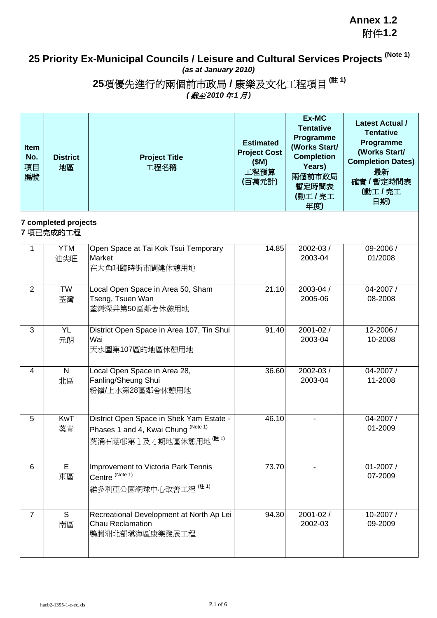**Annex 1.2** 附件**1.2**

## **25 Priority Ex-Municipal Councils / Leisure and Cultural Services Projects (Note 1)** *(as at January 2010)*

**25**項優先進行的兩個前市政局 **/** 康樂及文化工程項目 **(**註 **1)**

*(* 截至*2010* 年*1* 月*)*

| <b>Item</b><br>No.<br>項目<br>編號 | <b>District</b><br>地區             | <b>Project Title</b><br>工程名稱                                                                                         | <b>Estimated</b><br><b>Project Cost</b><br>(SM)<br>工程預算<br>(百萬元計) | Ex-MC<br><b>Tentative</b><br>Programme<br>(Works Start/<br><b>Completion</b><br>Years)<br>兩個前市政局<br>暫定時間表<br>(動工/完工<br>年度) | <b>Latest Actual /</b><br><b>Tentative</b><br>Programme<br>(Works Start/<br><b>Completion Dates)</b><br>最新<br>確實 / 暫定時間表<br>(動工/完工<br>日期) |
|--------------------------------|-----------------------------------|----------------------------------------------------------------------------------------------------------------------|-------------------------------------------------------------------|----------------------------------------------------------------------------------------------------------------------------|-------------------------------------------------------------------------------------------------------------------------------------------|
|                                | 7 completed projects<br>7 項已完成的工程 |                                                                                                                      |                                                                   |                                                                                                                            |                                                                                                                                           |
| $\mathbf{1}$                   | <b>YTM</b><br>油尖旺                 | Open Space at Tai Kok Tsui Temporary<br>Market<br>在大角咀臨時街市闢建休憩用地                                                     | 14.85                                                             | 2002-03 /<br>2003-04                                                                                                       | 09-2006 /<br>01/2008                                                                                                                      |
| $\overline{2}$                 | <b>TW</b><br>荃灣                   | Local Open Space in Area 50, Sham<br>Tseng, Tsuen Wan<br>荃灣深井第50區鄰舍休憩用地                                              | 21.10                                                             | 2003-04 /<br>2005-06                                                                                                       | 04-2007 /<br>08-2008                                                                                                                      |
| 3                              | <b>YL</b><br>元朗                   | District Open Space in Area 107, Tin Shui<br>Wai<br>天水圍第107區的地區休憩用地                                                  | 91.40                                                             | 2001-02 /<br>2003-04                                                                                                       | 12-2006 /<br>10-2008                                                                                                                      |
| 4                              | N<br>北區                           | Local Open Space in Area 28,<br>Fanling/Sheung Shui<br>粉嶺/上水第28區鄰舍休憩用地                                               | 36.60                                                             | 2002-03 /<br>2003-04                                                                                                       | 04-2007 /<br>11-2008                                                                                                                      |
| 5                              | <b>KwT</b><br>葵青                  | District Open Space in Shek Yam Estate -<br>Phases 1 and 4, Kwai Chung (Note 1)<br>葵涌石蔭邨第1及4期地區休憩用地 <sup>(註 1)</sup> | 46.10                                                             | ä,                                                                                                                         | 04-2007 /<br>01-2009                                                                                                                      |
| 6                              | Е<br>東區                           | Improvement to Victoria Park Tennis<br>Centre (Note 1)<br>維多利亞公園網球中心改善工程 (#1)                                        | 73.70                                                             |                                                                                                                            | 01-2007 /<br>07-2009                                                                                                                      |
| $\overline{7}$                 | S<br>南區                           | Recreational Development at North Ap Lei<br><b>Chau Reclamation</b><br>鴨脷洲北部填海區康樂發展工程                                | 94.30                                                             | 2001-02 /<br>2002-03                                                                                                       | 10-2007/<br>09-2009                                                                                                                       |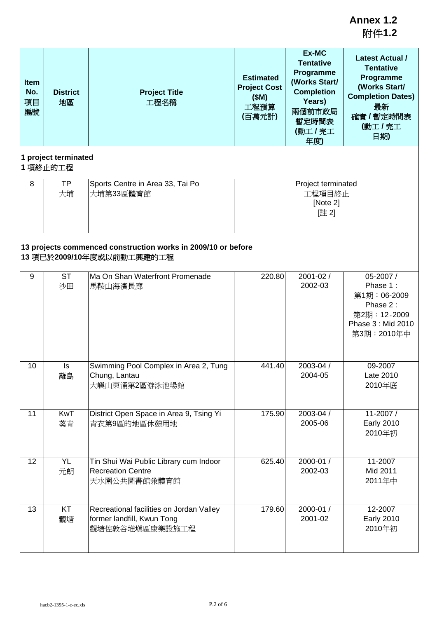| <b>Item</b><br>No.<br>項目<br>編號 | <b>District</b><br>地區            | <b>Project Title</b><br>工程名稱                                                               | <b>Estimated</b><br><b>Project Cost</b><br>(SM)<br>工程預算<br>(百萬元計) | Ex-MC<br><b>Tentative</b><br>Programme<br>(Works Start/<br><b>Completion</b><br>Years)<br>兩個前市政局<br>暫定時間表<br>(動工/完工<br>年度) | <b>Latest Actual /</b><br><b>Tentative</b><br>Programme<br>(Works Start/<br><b>Completion Dates)</b><br>最新<br>確實 / 暫定時間表<br>(動工 / 完工<br>日期) |
|--------------------------------|----------------------------------|--------------------------------------------------------------------------------------------|-------------------------------------------------------------------|----------------------------------------------------------------------------------------------------------------------------|---------------------------------------------------------------------------------------------------------------------------------------------|
|                                | 1 project terminated<br>1 項終止的工程 |                                                                                            |                                                                   |                                                                                                                            |                                                                                                                                             |
| 8                              | <b>TP</b><br>大埔                  | Sports Centre in Area 33, Tai Po<br>大埔第33區體育館                                              |                                                                   | Project terminated<br>工程項目終止<br>[Note 2]<br>[註2]                                                                           |                                                                                                                                             |
|                                |                                  | 13 projects commenced construction works in 2009/10 or before<br>13 項已於2009/10年度或以前動工興建的工程 |                                                                   |                                                                                                                            |                                                                                                                                             |
| 9                              | <b>ST</b><br>沙田                  | Ma On Shan Waterfront Promenade<br>馬鞍山海濱長廊                                                 | 220.80                                                            | 2001-02 /<br>2002-03                                                                                                       | $05 - 2007/$<br>Phase 1:<br>第1期:06-2009<br>Phase 2:<br>第2期: 12-2009<br>Phase 3: Mid 2010<br>第3期:2010年中                                      |
| 10                             | Is<br>離島                         | Swimming Pool Complex in Area 2, Tung<br>Chung, Lantau<br>大嶼山東涌第2區游泳池場館                    | 441.40                                                            | 2003-04 /<br>2004-05                                                                                                       | 09-2007<br>Late 2010<br>2010年底                                                                                                              |
| 11                             | <b>KwT</b><br>葵青                 | District Open Space in Area 9, Tsing Yi<br>青衣第9區的地區休憩用地                                    | 175.90                                                            | 2003-04 /<br>2005-06                                                                                                       | 11-2007/<br><b>Early 2010</b><br>2010年初                                                                                                     |
| 12                             | <b>YL</b><br>元朗                  | Tin Shui Wai Public Library cum Indoor<br><b>Recreation Centre</b><br>天水圍公共圖書館兼體育館         | 625.40                                                            | 2000-01 /<br>2002-03                                                                                                       | 11-2007<br>Mid 2011<br>2011年中                                                                                                               |
| 13                             | KT<br>觀塘                         | Recreational facilities on Jordan Valley<br>former landfill, Kwun Tong<br>觀塘佐敦谷堆填區康樂設施工程   | 179.60                                                            | 2000-01 /<br>2001-02                                                                                                       | 12-2007<br><b>Early 2010</b><br>2010年初                                                                                                      |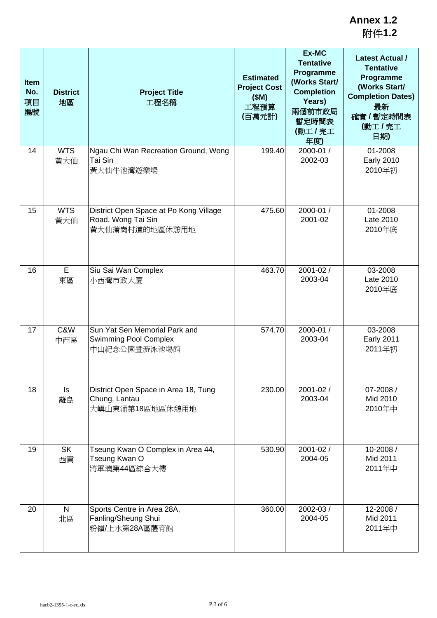| <b>Item</b><br>No.<br>項目<br>編號 | <b>District</b><br>地區 | <b>Project Title</b><br>工程名稱                                                   | <b>Estimated</b><br><b>Project Cost</b><br>(SM)<br>工程預算<br>(百萬元計) | Ex-MC<br><b>Tentative</b><br>Programme<br>(Works Start/<br><b>Completion</b><br>Years)<br>兩個前市政局<br>暫定時間表<br>(動工/完工<br>年度) | <b>Latest Actual /</b><br><b>Tentative</b><br>Programme<br>(Works Start/<br><b>Completion Dates)</b><br>最新<br>確實 / 暫定時間表<br>(動工/完工<br>日期) |
|--------------------------------|-----------------------|--------------------------------------------------------------------------------|-------------------------------------------------------------------|----------------------------------------------------------------------------------------------------------------------------|-------------------------------------------------------------------------------------------------------------------------------------------|
| 14                             | <b>WTS</b><br>黃大仙     | Ngau Chi Wan Recreation Ground, Wong<br>Tai Sin<br>黃大仙牛池灣遊樂場                   | 199.40                                                            | 2000-01 /<br>2002-03                                                                                                       | 01-2008<br><b>Early 2010</b><br>2010年初                                                                                                    |
| 15                             | <b>WTS</b><br>黃大仙     | District Open Space at Po Kong Village<br>Road, Wong Tai Sin<br>黃大仙蒲崗村道的地區休憩用地 | 475.60                                                            | 2000-01/<br>2001-02                                                                                                        | 01-2008<br>Late 2010<br>2010年底                                                                                                            |
| 16                             | E<br>東區               | Siu Sai Wan Complex<br>小西灣市政大廈                                                 | 463.70                                                            | 2001-02 /<br>2003-04                                                                                                       | 03-2008<br>Late 2010<br>2010年底                                                                                                            |
| 17                             | C&W<br>中西區            | Sun Yat Sen Memorial Park and<br><b>Swimming Pool Complex</b><br>中山紀念公園暨游泳池塲館  | 574.70                                                            | 2000-01 /<br>2003-04                                                                                                       | 03-2008<br><b>Early 2011</b><br>2011年初                                                                                                    |
| 18                             | ls<br>離島              | District Open Space in Area 18, Tung<br>Chung, Lantau<br>大嶼山東涌第18區地區休憩用地       | 230.00                                                            | 2001-02 /<br>2003-04                                                                                                       | 07-2008 /<br>Mid 2010<br>2010年中                                                                                                           |
| 19                             | <b>SK</b><br>西貢       | Tseung Kwan O Complex in Area 44,<br>Tseung Kwan O<br>將軍澳第44區綜合大樓              | 530.90                                                            | 2001-02 /<br>2004-05                                                                                                       | 10-2008/<br>Mid 2011<br>2011年中                                                                                                            |
| 20                             | $\mathsf{N}$<br>北區    | Sports Centre in Area 28A,<br>Fanling/Sheung Shui<br>粉嶺/上水第28A區體育館             | 360.00                                                            | 2002-03 /<br>2004-05                                                                                                       | 12-2008/<br>Mid 2011<br>2011年中                                                                                                            |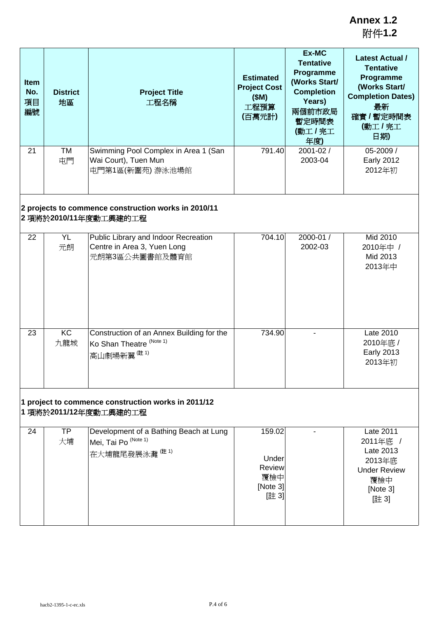| <b>Item</b><br>No.<br>項目<br>編號 | <b>District</b><br>地區 | <b>Project Title</b><br>工程名稱                                                                                                               | <b>Estimated</b><br><b>Project Cost</b><br>(SM)<br>工程預算<br>(百萬元計) | Ex-MC<br><b>Tentative</b><br>Programme<br>(Works Start/<br><b>Completion</b><br>Years)<br>兩個前市政局<br>暫定時間表<br>(動工/完工<br>年度) | <b>Latest Actual /</b><br><b>Tentative</b><br>Programme<br>(Works Start/<br><b>Completion Dates)</b><br>最新<br>確實 / 暫定時間表<br>(動工/完工<br>日期) |
|--------------------------------|-----------------------|--------------------------------------------------------------------------------------------------------------------------------------------|-------------------------------------------------------------------|----------------------------------------------------------------------------------------------------------------------------|-------------------------------------------------------------------------------------------------------------------------------------------|
| 21                             | <b>TM</b><br>屯門       | Swimming Pool Complex in Area 1 (San<br>Wai Court), Tuen Mun<br>屯門第1區(新圍苑)游泳池場館                                                            | 791.40                                                            | 2001-02 /<br>2003-04                                                                                                       | 05-2009 /<br><b>Early 2012</b><br>2012年初                                                                                                  |
|                                |                       | 2 projects to commence construction works in 2010/11<br>2 項將於2010/11年度動工興建的工程                                                              |                                                                   |                                                                                                                            |                                                                                                                                           |
| 22                             | YL<br>元朗              | Public Library and Indoor Recreation<br>Centre in Area 3, Yuen Long<br>元朗第3區公共圖書館及體育館                                                      | 704.10                                                            | 2000-01 /<br>2002-03                                                                                                       | Mid 2010<br>2010年中 /<br>Mid 2013<br>2013年中                                                                                                |
| 23                             | KC<br>九龍城             | Construction of an Annex Building for the<br>Ko Shan Theatre (Note 1)<br>高山劇場新翼(註1)<br>1 project to commence construction works in 2011/12 | 734.90                                                            |                                                                                                                            | Late 2010<br>2010年底 /<br><b>Early 2013</b><br>2013年初                                                                                      |
|                                |                       | 1 項將於2011/12年度動工興建的工程                                                                                                                      |                                                                   |                                                                                                                            |                                                                                                                                           |
| 24                             | <b>TP</b><br>大埔       | Development of a Bathing Beach at Lung<br>Mei, Tai Po (Note 1)<br>在大埔龍尾發展泳灘(註1)                                                            | 159.02<br>Under<br>Review<br>覆檢中<br>[Note 3]<br>[註 3]             |                                                                                                                            | Late 2011<br>2011年底 /<br>Late 2013<br>2013年底<br><b>Under Review</b><br>覆檢中<br>[Note 3]<br>[註 3]                                           |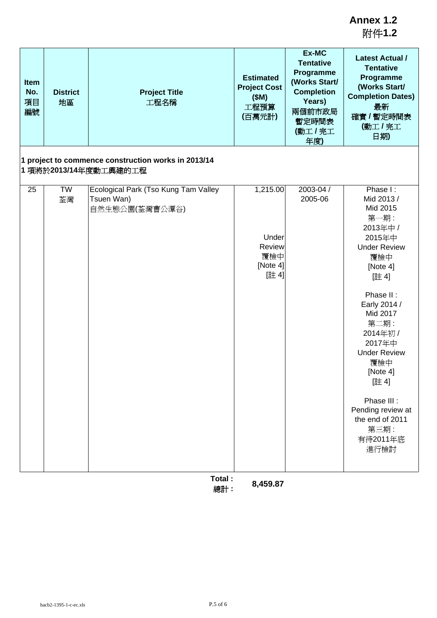附件**1.2**

| <b>Item</b><br>No.<br><b>District</b><br>項目<br>地區<br>編號 |                 | <b>Project Title</b><br>工程名稱                                                   | <b>Estimated</b><br><b>Project Cost</b><br>(SM)<br>工程預算<br>(百萬元計)  | Ex-MC<br><b>Tentative</b><br>Programme<br>(Works Start/<br><b>Completion</b><br>Years)<br>兩個前市政局<br>暫定時間表<br>(動工/完工<br>年度) | <b>Latest Actual /</b><br><b>Tentative</b><br>Programme<br>(Works Start/<br><b>Completion Dates)</b><br>最新<br>確實 / 暫定時間表<br>(動工/完工<br>日期)                                                                                                                                                                                      |
|---------------------------------------------------------|-----------------|--------------------------------------------------------------------------------|--------------------------------------------------------------------|----------------------------------------------------------------------------------------------------------------------------|--------------------------------------------------------------------------------------------------------------------------------------------------------------------------------------------------------------------------------------------------------------------------------------------------------------------------------|
| 1 項將於2013/14年度動工興建的工程                                   |                 | 1 project to commence construction works in 2013/14                            |                                                                    |                                                                                                                            |                                                                                                                                                                                                                                                                                                                                |
| 25                                                      | <b>TW</b><br>荃灣 | Ecological Park (Tso Kung Tam Valley<br>Tsuen Wan)<br>自然生態公園(荃灣曹公潭谷)<br>Total: | 1,215.00<br>Under<br>Review<br>覆檢中<br>[Note 4]<br>[註4]<br>8,459.87 | 2003-04 /<br>2005-06                                                                                                       | Phase I:<br>Mid 2013 /<br>Mid 2015<br>第一期:<br>2013年中 /<br>2015年中<br><b>Under Review</b><br>覆檢中<br>[Note 4]<br>[註4]<br>Phase II:<br>Early 2014 /<br>Mid 2017<br>第二期:<br>2014年初 /<br>2017年中<br><b>Under Review</b><br>覆檢中<br>[Note 4]<br>[註4]<br>Phase III :<br>Pending review at<br>the end of 2011<br>第三期:<br>有待2011年底<br>進行檢討 |

總計 **: 8,459.87**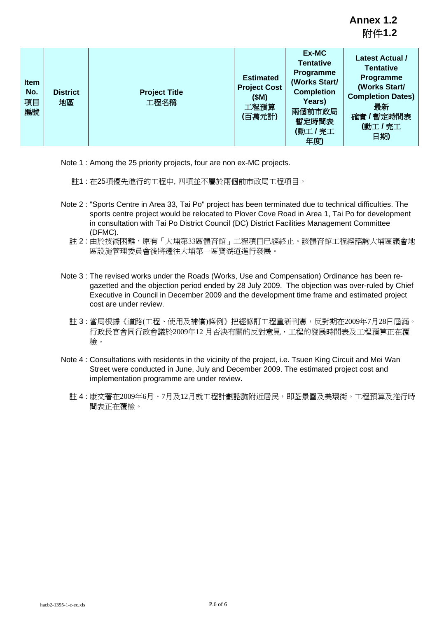**Annex 1.2** 附件**1.2**

| <b>Item</b><br>No.<br>項目<br>編號 | <b>District</b><br>地區 | <b>Project Title</b><br>工程名稱 | <b>Estimated</b><br><b>Project Cost</b><br>(SM)<br>工程預算<br>(百萬元計) | Ex-MC<br><b>Tentative</b><br><b>Programme</b><br>(Works Start/<br><b>Completion</b><br>Years)<br>兩個前市政局<br>暫定時間表<br>(動工/完工<br>年度) | <b>Latest Actual /</b><br><b>Tentative</b><br>Programme<br>(Works Start/<br><b>Completion Dates)</b><br>最新<br>確實 / 暫定時間表<br>(動工/完工<br>日期) |
|--------------------------------|-----------------------|------------------------------|-------------------------------------------------------------------|-----------------------------------------------------------------------------------------------------------------------------------|-------------------------------------------------------------------------------------------------------------------------------------------|

Note 1 : Among the 25 priority projects, four are non ex-MC projects.

- 註1 : 在25項優先進行的工程中, 四項並不屬於兩個前市政局工程項目。
- Note 2 : "Sports Centre in Area 33, Tai Po" project has been terminated due to technical difficulties. The sports centre project would be relocated to Plover Cove Road in Area 1, Tai Po for development in consultation with Tai Po District Council (DC) District Facilities Management Committee (DFMC).
	- 註 2 : 由於技術困難,原有「大埔第33區體育館」工程項目已經終止。該體育館工程經諮詢大埔區議會地 區設施管理委員會後將遷往大埔第一區寶湖道進行發展。
- Note 3 : The revised works under the Roads (Works, Use and Compensation) Ordinance has been regazetted and the objection period ended by 28 July 2009. The objection was over-ruled by Chief Executive in Council in December 2009 and the development time frame and estimated project cost are under review.
	- 註 3 : 當局根據《道路(工程、使用及補償)條例》把經修訂工程重新刊憲,反對期在2009年7月28日屆滿。 行政長官會同行政會議於2009年12 月否決有關的反對意見,工程的發展時間表及工程預算正在覆 檢。
- Note 4 : Consultations with residents in the vicinity of the project, i.e. Tsuen King Circuit and Mei Wan Street were conducted in June, July and December 2009. The estimated project cost and implementation programme are under review.
	- 註 4 : 康文署在2009年6月、7月及12月就工程計劃諮詢附近居民,即荃景圍及美環街。工程預算及推行時 間表正在覆檢。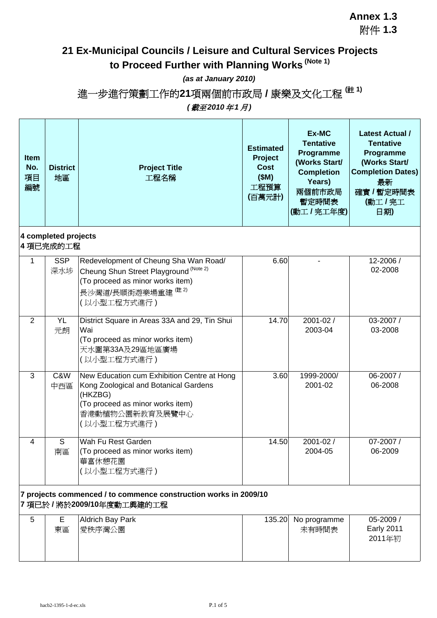#### **Annex 1.3** 附件 **1.3**

# **21 Ex-Municipal Councils / Leisure and Cultural Services Projects to Proceed Further with Planning Works (Note 1)**

#### *(as at January 2010)*

進一步進行策劃工作的**21**項兩個前市政局 **/** 康樂及文化工程 **(**註 **1)** *(* 截至*2010* 年*1* 月*)*

| <b>Item</b><br>No.<br>項目<br>編號 | <b>District</b><br>地區             | <b>Project Title</b><br>工程名稱                                                                                                                                          | <b>Estimated</b><br>Project<br>Cost<br>(SM)<br>工程預算<br>(百萬元計) | Ex-MC<br><b>Tentative</b><br>Programme<br>(Works Start/<br><b>Completion</b><br>Years)<br>兩個前市政局<br>暫定時間表<br>(動工/完工年度) | <b>Latest Actual /</b><br><b>Tentative</b><br>Programme<br>(Works Start/<br><b>Completion Dates)</b><br>最新<br>確實 / 暫定時間表<br>(動工/完工<br>日期) |
|--------------------------------|-----------------------------------|-----------------------------------------------------------------------------------------------------------------------------------------------------------------------|---------------------------------------------------------------|------------------------------------------------------------------------------------------------------------------------|-------------------------------------------------------------------------------------------------------------------------------------------|
|                                | 4 completed projects<br>4 項已完成的工程 |                                                                                                                                                                       |                                                               |                                                                                                                        |                                                                                                                                           |
| 1                              | <b>SSP</b><br>深水埗                 | Redevelopment of Cheung Sha Wan Road/<br>Cheung Shun Street Playground (Note 2)<br>(To proceed as minor works item)<br>長沙灣道/長順街遊樂場重建 (# 2)<br>(以小型工程方式進行)             | 6.60                                                          |                                                                                                                        | 12-2006 /<br>02-2008                                                                                                                      |
| $\overline{2}$                 | <b>YL</b><br>元朗                   | District Square in Areas 33A and 29, Tin Shui<br>Wai<br>(To proceed as minor works item)<br>天水圍第33A及29區地區廣場<br>(以小型工程方式進行)                                            | 14.70                                                         | 2001-02 /<br>2003-04                                                                                                   | 03-2007 /<br>03-2008                                                                                                                      |
| 3                              | C&W<br>中西區                        | New Education cum Exhibition Centre at Hong<br>Kong Zoological and Botanical Gardens<br>(HKZBG)<br>(To proceed as minor works item)<br>香港動植物公園新教育及展覽中心<br>(以小型工程方式進行) | 3.60                                                          | 1999-2000/<br>2001-02                                                                                                  | 06-2007 /<br>06-2008                                                                                                                      |
| $\overline{4}$                 | S<br>南區                           | Wah Fu Rest Garden<br>(To proceed as minor works item)<br>華富休憩花園<br>(以小型工程方式進行)                                                                                       | 14.50                                                         | 2001-02 /<br>2004-05                                                                                                   | 07-2007 /<br>06-2009                                                                                                                      |
|                                |                                   | 7 projects commenced / to commence construction works in 2009/10<br>7項已於/將於2009/10年度動工興建的工程                                                                           |                                                               |                                                                                                                        |                                                                                                                                           |
| 5                              | E<br>東區                           | <b>Aldrich Bay Park</b><br>愛秩序灣公園                                                                                                                                     | 135.20                                                        | No programme<br>未有時間表                                                                                                  | 05-2009 /<br><b>Early 2011</b><br>2011年初                                                                                                  |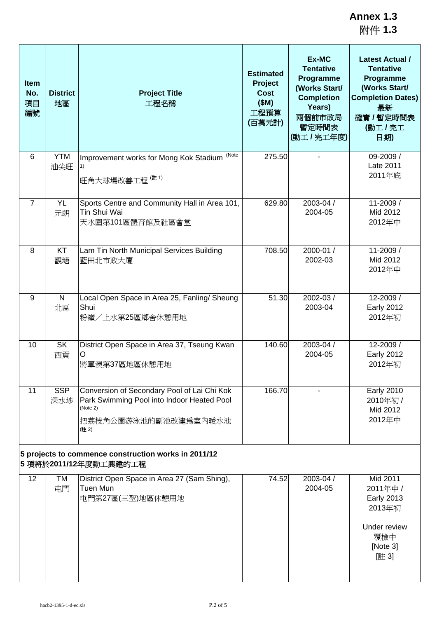**Annex 1.3** 附件 **1.3**

| <b>Item</b><br>No.<br>項目<br>編號                                                | <b>District</b><br>地區 | <b>Project Title</b><br>工程名稱                                                                                                          | <b>Estimated</b><br>Project<br><b>Cost</b><br>(SM)<br>工程預算<br>(百萬元計) | Ex-MC<br><b>Tentative</b><br>Programme<br>(Works Start/<br><b>Completion</b><br>Years)<br>兩個前市政局<br>暫定時間表<br>(動工/完工年度) | <b>Latest Actual /</b><br><b>Tentative</b><br>Programme<br>(Works Start/<br><b>Completion Dates)</b><br>最新<br>確實 / 暫定時間表<br>(動工/完工<br>日期) |  |
|-------------------------------------------------------------------------------|-----------------------|---------------------------------------------------------------------------------------------------------------------------------------|----------------------------------------------------------------------|------------------------------------------------------------------------------------------------------------------------|-------------------------------------------------------------------------------------------------------------------------------------------|--|
| 6                                                                             | <b>YTM</b><br>油尖旺     | (Note<br>Improvement works for Mong Kok Stadium<br>1)<br>旺角大球場改善工程 (#1)                                                               | 275.50                                                               |                                                                                                                        | 09-2009 /<br>Late 2011<br>2011年底                                                                                                          |  |
| $\overline{7}$                                                                | <b>YL</b><br>元朗       | Sports Centre and Community Hall in Area 101,<br>Tin Shui Wai<br>天水圍第101區體育館及社區會堂                                                     |                                                                      | 2003-04 /<br>629.80<br>2004-05                                                                                         | 11-2009 /<br>Mid 2012<br>2012年中                                                                                                           |  |
| 8                                                                             | KT<br>觀塘              | Lam Tin North Municipal Services Building<br>藍田北市政大廈                                                                                  | 708.50                                                               | 2000-01 /<br>2002-03                                                                                                   | 11-2009 /<br>Mid 2012<br>2012年中                                                                                                           |  |
| 9                                                                             | N.<br>北區              | Local Open Space in Area 25, Fanling/ Sheung<br>Shui<br>粉嶺/上水第25區鄰舍休憩用地                                                               | 51.30                                                                | 2002-03/<br>2003-04                                                                                                    | 12-2009 /<br><b>Early 2012</b><br>2012年初                                                                                                  |  |
| 10                                                                            | <b>SK</b><br>西貢       | District Open Space in Area 37, Tseung Kwan<br>$\Omega$<br>將軍澳第37區地區休憩用地                                                              | 140.60                                                               | 2003-04 /<br>2004-05                                                                                                   | 12-2009 /<br><b>Early 2012</b><br>2012年初                                                                                                  |  |
| 11                                                                            | <b>SSP</b><br>深水埗     | Conversion of Secondary Pool of Lai Chi Kok<br>Park Swimming Pool into Indoor Heated Pool<br>(Note 2)<br>把荔枝角公園游泳池的副池改建爲室內暖水池<br>(註2) | 166.70                                                               |                                                                                                                        | <b>Early 2010</b><br>2010年初 /<br>Mid 2012<br>2012年中                                                                                       |  |
| 5 projects to commence construction works in 2011/12<br>5 項將於2011/12年度動工興建的工程 |                       |                                                                                                                                       |                                                                      |                                                                                                                        |                                                                                                                                           |  |
| 12                                                                            | TM<br>屯門              | District Open Space in Area 27 (Sam Shing),<br>Tuen Mun<br>屯門第27區(三聖)地區休憩用地                                                           | 74.52                                                                | 2003-04 /<br>2004-05                                                                                                   | Mid 2011<br>2011年中 /<br><b>Early 2013</b><br>2013年初<br>Under review<br>覆檢中<br>[Note 3]<br>[註 3]                                           |  |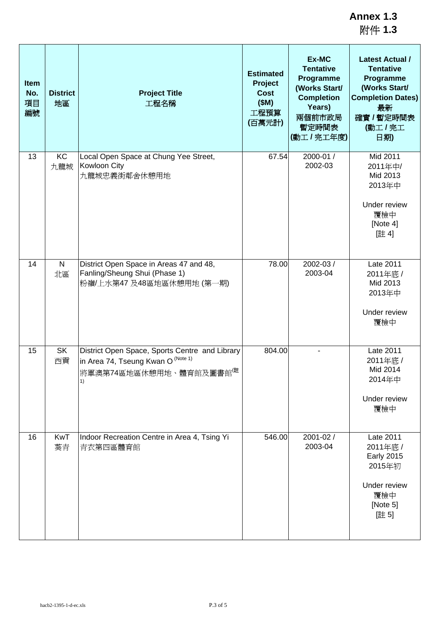附件 **1.3**

| Item<br>No.<br>項目<br>編號 | <b>District</b><br>地區 | <b>Project Title</b><br>工程名稱                                                                                                      | <b>Estimated</b><br><b>Project</b><br><b>Cost</b><br>(SM)<br>工程預算<br>(百萬元計) | Ex-MC<br><b>Tentative</b><br>Programme<br>(Works Start/<br><b>Completion</b><br>Years)<br>兩個前市政局<br>暫定時間表<br>(動工/完工年度) | <b>Latest Actual /</b><br><b>Tentative</b><br>Programme<br>(Works Start/<br><b>Completion Dates)</b><br>最新<br>確實 / 暫定時間表<br>(動工/完工<br>日期) |
|-------------------------|-----------------------|-----------------------------------------------------------------------------------------------------------------------------------|-----------------------------------------------------------------------------|------------------------------------------------------------------------------------------------------------------------|-------------------------------------------------------------------------------------------------------------------------------------------|
| 13                      | KC<br>九龍城             | Local Open Space at Chung Yee Street,<br>Kowloon City<br>九龍城忠義街鄰舍休憩用地                                                             | 67.54                                                                       | 2000-01 /<br>2002-03                                                                                                   | Mid 2011<br>2011年中/<br>Mid 2013<br>2013年中<br>Under review<br>覆檢中<br>[Note 4]<br>[註4]                                                      |
| 14                      | $\mathsf{N}$<br>北區    | District Open Space in Areas 47 and 48,<br>Fanling/Sheung Shui (Phase 1)<br>粉嶺/上水第47 及48區地區休憩用地 (第一期)                             | 78.00                                                                       | 2002-03 /<br>2003-04                                                                                                   | Late 2011<br>2011年底 /<br>Mid 2013<br>2013年中<br>Under review<br>覆檢中                                                                        |
| 15                      | <b>SK</b><br>西貢       | District Open Space, Sports Centre and Library<br>in Area 74, Tseung Kwan O (Note 1)<br>將軍澳第74區地區休憩用地、體育館及圖書館 <sup>(註</sup><br>1) | 804.00                                                                      |                                                                                                                        | Late 2011<br>2011年底 /<br>Mid 2014<br>2014年中<br>Under review<br>覆檢中                                                                        |
| 16                      | <b>KwT</b><br>葵青      | Indoor Recreation Centre in Area 4, Tsing Yi<br>青衣第四區體育館                                                                          | 546.00                                                                      | 2001-02 /<br>2003-04                                                                                                   | Late 2011<br>2011年底 /<br><b>Early 2015</b><br>2015年初<br>Under review<br>覆檢中<br>[Note 5]<br>[註5]                                           |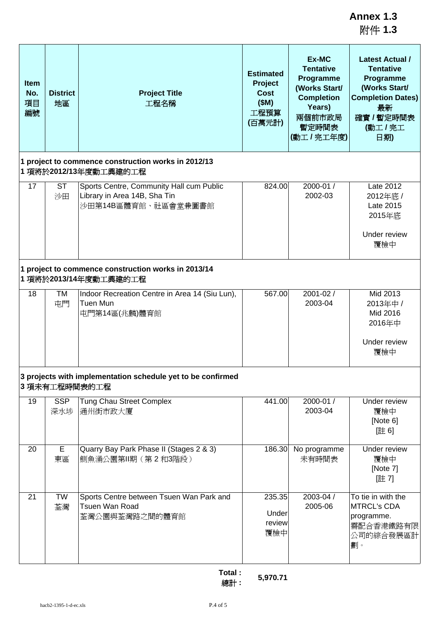附件 **1.3**

| <b>Item</b><br>No.<br>項目<br>編號 | <b>District</b><br>地區                                                        | <b>Project Title</b><br>工程名稱                                                                    | <b>Estimated</b><br>Project<br><b>Cost</b><br>(SM)<br>工程預算<br>(百萬元計) | Ex-MC<br><b>Tentative</b><br>Programme<br>(Works Start/<br><b>Completion</b><br>Years)<br>兩個前市政局<br>暫定時間表<br>(動工/完工年度) | <b>Latest Actual /</b><br><b>Tentative</b><br>Programme<br>(Works Start/<br><b>Completion Dates)</b><br>最新<br>確實 / 暫定時間表<br>(動工/完工<br>日期) |  |  |
|--------------------------------|------------------------------------------------------------------------------|-------------------------------------------------------------------------------------------------|----------------------------------------------------------------------|------------------------------------------------------------------------------------------------------------------------|-------------------------------------------------------------------------------------------------------------------------------------------|--|--|
|                                |                                                                              | 1 project to commence construction works in 2012/13<br>1 項將於2012/13年度動工興建的工程                    |                                                                      |                                                                                                                        |                                                                                                                                           |  |  |
| 17                             | <b>ST</b><br>沙田                                                              | Sports Centre, Community Hall cum Public<br>Library in Area 14B, Sha Tin<br>沙田第14B區體育館、社區會堂兼圖書館 | 824.00                                                               | 2000-01 /<br>2002-03                                                                                                   | Late 2012<br>2012年底 /<br>Late 2015<br>2015年底<br>Under review<br>覆檢中                                                                       |  |  |
|                                | 1 project to commence construction works in 2013/14<br>1 項將於2013/14年度動工興建的工程 |                                                                                                 |                                                                      |                                                                                                                        |                                                                                                                                           |  |  |
| 18                             | TM<br>屯門                                                                     | Indoor Recreation Centre in Area 14 (Siu Lun),<br>Tuen Mun<br>屯門第14區(兆麟)體育館                     | 567.00                                                               | $2001 - 02/$<br>2003-04                                                                                                | Mid 2013<br>2013年中 /<br>Mid 2016<br>2016年中<br>Under review<br>覆檢中                                                                         |  |  |
|                                |                                                                              | 3 projects with implementation schedule yet to be confirmed<br>3 項未有工程時間表的工程                    |                                                                      |                                                                                                                        |                                                                                                                                           |  |  |
| 19                             | <b>SSP</b><br>深水埗                                                            | <b>Tung Chau Street Complex</b><br>通州街市政大廈                                                      | 441.00                                                               | 2000-01 /<br>2003-04                                                                                                   | Under review<br>覆檢中<br>[Note 6]<br>[註6]                                                                                                   |  |  |
| 20                             | E<br>東區                                                                      | Quarry Bay Park Phase II (Stages 2 & 3)<br>鰂魚涌公園第Ⅱ期 (第2和3階段)                                    | 186.30                                                               | No programme<br>未有時間表                                                                                                  | Under review<br>覆檢中<br>[Note 7]<br>[註7]                                                                                                   |  |  |
| 21                             | <b>TW</b><br>荃灣                                                              | Sports Centre between Tsuen Wan Park and<br>Tsuen Wan Road<br>荃灣公園與荃灣路之間的體育館                    | 235.35<br>Under<br>review<br>覆檢中                                     | 2003-04 /<br>2005-06                                                                                                   | To tie in with the<br><b>MTRCL's CDA</b><br>programme.<br>需配合香港鐵路有限<br>公司的綜合發展區計<br>劃。                                                    |  |  |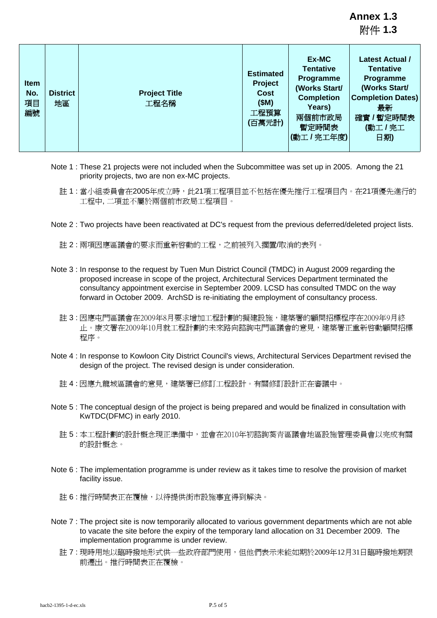**Annex 1.3** 附件 **1.3**

| <b>Item</b><br>No.<br>項目<br>編號 | <b>District</b><br>地區 | <b>Project Title</b><br>工程名稱 | <b>Estimated</b><br><b>Project</b><br>Cost<br>(SM)<br>工程預算<br>(百萬元計) | Ex-MC<br><b>Tentative</b><br>Programme<br>(Works Start/<br><b>Completion</b><br>Years)<br>兩個前市政局<br>暫定時間表<br>(動工/完工年度) | Latest Actual /<br><b>Tentative</b><br>Programme<br>(Works Start/<br><b>Completion Dates)</b><br>最新<br>確實 / 暫定時間表<br>(動工/完工<br>日期) |
|--------------------------------|-----------------------|------------------------------|----------------------------------------------------------------------|------------------------------------------------------------------------------------------------------------------------|------------------------------------------------------------------------------------------------------------------------------------|
|--------------------------------|-----------------------|------------------------------|----------------------------------------------------------------------|------------------------------------------------------------------------------------------------------------------------|------------------------------------------------------------------------------------------------------------------------------------|

- Note 1 : These 21 projects were not included when the Subcommittee was set up in 2005. Among the 21 priority projects, two are non ex-MC projects.
	- 註 1 : 當小組委員會在2005年成立時,此21項工程項目並不包括在優先推行工程項目內。在21項優先進行的 工程中, 二項並不屬於兩個前市政局工程項目。
- Note 2 : Two projects have been reactivated at DC's request from the previous deferred/deleted project lists.
	- 註 2 : 兩項因應區議會的要求而重新啓動的工程,之前被列入擱置/取消的表列。
- Note 3 : In response to the request by Tuen Mun District Council (TMDC) in August 2009 regarding the proposed increase in scope of the project, Architectural Services Department terminated the consultancy appointment exercise in September 2009. LCSD has consulted TMDC on the way forward in October 2009. ArchSD is re-initiating the employment of consultancy process.
	- 註 3 : 因應屯門區議會在2009年8月要求增加工程計劃的擬建設施,建築署的顧問招標程序在2009年9月終 止。康文署在2009年10月就工程計劃的未來路向諮詢屯門區議會的意見,建築署正重新啟動顧問招標 程序。
- Note 4 : In response to Kowloon City District Council's views, Architectural Services Department revised the design of the project. The revised design is under consideration.
	- 註 4 : 因應九龍城區議會的意見,建築署已修訂工程設計。有關修訂設計正在審議中。
- Note 5 : The conceptual design of the project is being prepared and would be finalized in consultation with KwTDC(DFMC) in early 2010.
	- 註 5 : 本工程計劃的設計概念現正準備中,並會在2010年初諮詢葵青區議會地區設施管理委員會以完成有關 的設計概念。
- Note 6 : The implementation programme is under review as it takes time to resolve the provision of market facility issue.
	- 註 6 : 推行時間表正在覆檢,以待提供街市設施事宜得到解決。
- Note 7 : The project site is now temporarily allocated to various government departments which are not able to vacate the site before the expiry of the temporary land allocation on 31 December 2009. The implementation programme is under review.
	- 註 7 : 現時用地以臨時撥地形式供一些政府部門使用,但他們表示未能如期於2009年12月31日臨時撥地期限 前遷出。推行時間表正在覆檢。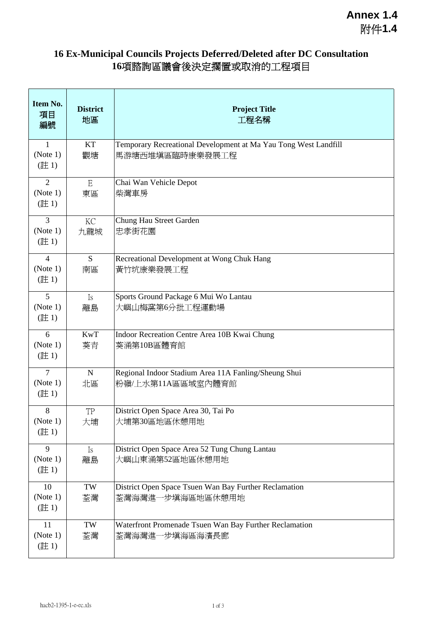## **16 Ex-Municipal Councils Projects Deferred/Deleted after DC Consultation 16**項諮詢區議會後決定擱置或取消的工程項目

| Item No.<br>項目<br>編號               | <b>District</b><br>地區 | <b>Project Title</b><br>工程名稱                                                       |  |
|------------------------------------|-----------------------|------------------------------------------------------------------------------------|--|
| $\mathbf{1}$<br>(Note 1)<br>(註1)   | KT<br>觀塘              | Temporary Recreational Development at Ma Yau Tong West Landfill<br>馬游塘西堆填區臨時康樂發展工程 |  |
| $\overline{2}$<br>(Note 1)<br>(註1) | $\mathbf E$<br>東區     | Chai Wan Vehicle Depot<br>柴灣車房                                                     |  |
| $\overline{3}$<br>(Note 1)<br>(註1) | KC<br>九龍城             | Chung Hau Street Garden<br>忠孝街花園                                                   |  |
| $\overline{4}$<br>(Note 1)<br>(註1) | S<br>南區               | Recreational Development at Wong Chuk Hang<br>黃竹坑康樂發展工程                            |  |
| 5<br>(Note 1)<br>(註1)              | <b>Is</b><br>離島       | Sports Ground Package 6 Mui Wo Lantau<br>大嶼山梅窩第6分批工程運動場                            |  |
| 6<br>(Note 1)<br>(註1)              | <b>KwT</b><br>葵青      | Indoor Recreation Centre Area 10B Kwai Chung<br>葵涌第10B區體育館                         |  |
| $\overline{7}$<br>(Note 1)<br>(註1) | ${\bf N}$<br>北區       | Regional Indoor Stadium Area 11A Fanling/Sheung Shui<br>粉嶺/上水第11A區區域室內體育館          |  |
| $\,8\,$<br>(Note 1)<br>(註1)        | TP<br>大埔              | District Open Space Area 30, Tai Po<br>大埔第30區地區休憩用地                                |  |
| 9<br>(Note 1)<br>(註1)              | Is<br>離島              | District Open Space Area 52 Tung Chung Lantau<br>大嶼山東涌第52區地區休憩用地                   |  |
| 10<br>(Note 1)<br>(註1)             | TW<br>荃灣              | District Open Space Tsuen Wan Bay Further Reclamation<br>荃灣海灣進一步填海區地區休憩用地          |  |
| 11<br>(Note 1)<br>(註1)             | TW<br>荃灣              | Waterfront Promenade Tsuen Wan Bay Further Reclamation<br>荃灣海灣進一步填海區海濱長廊           |  |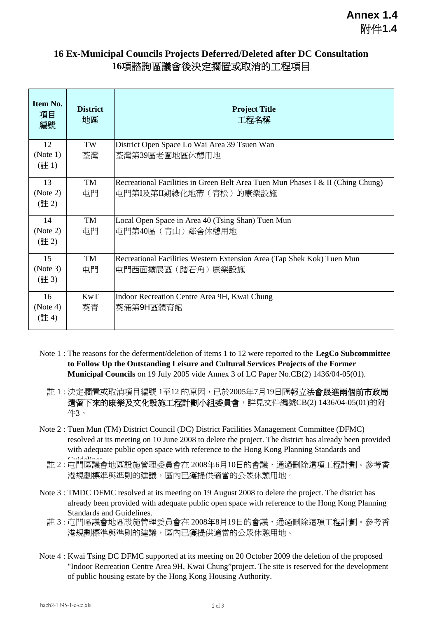#### **16 Ex-Municipal Councils Projects Deferred/Deleted after DC Consultation 16**項諮詢區議會後決定擱置或取消的工程項目

| Item No.<br>項目<br>編號 | <b>District</b><br>地區 | <b>Project Title</b><br>工程名稱                                                               |
|----------------------|-----------------------|--------------------------------------------------------------------------------------------|
| 12                   | TW                    | District Open Space Lo Wai Area 39 Tsuen Wan                                               |
| (Note 1)<br>(註1)     | 荃灣                    | 荃灣第39區老圍地區休憩用地                                                                             |
| 13                   | TM                    | Recreational Facilities in Green Belt Area Tuen Mun Phases I & II (Ching Chung)            |
| (Note 2)<br>(註2)     | 屯門                    | 屯門第I及第II期綠化地帶(青松)的康樂設施                                                                     |
| 14                   | TM                    | Local Open Space in Area 40 (Tsing Shan) Tuen Mun                                          |
| (Note 2)<br>(註2)     | 屯門                    | 屯門第40區 (青山) 鄰舍休憩用地                                                                         |
| 15<br>(Note 3)       | TM<br>屯門              | Recreational Facilities Western Extension Area (Tap Shek Kok) Tuen Mun<br>屯門西面擴展區(踏石角)康樂設施 |
| (註 3)                |                       |                                                                                            |
| 16                   | <b>KwT</b>            | Indoor Recreation Centre Area 9H, Kwai Chung                                               |
| (Note 4)<br>(註4)     | 葵青                    | 葵涌第9H區體育館                                                                                  |

- Note 1 : The reasons for the deferment/deletion of items 1 to 12 were reported to the **LegCo Subcommittee to Follow Up the Outstanding Leisure and Cultural Services Projects of the Former Municipal Councils** on 19 July 2005 vide Annex 3 of LC Paper No.CB(2) 1436/04-05(01).
	- 註 1 : 決定擱置或取消項目編號 1至12 的原因,已於2005年7月19日匯報**立法會跟進兩個前市政局** 遺留下來的康樂及文化設施工程計劃小組委員會,詳見文件編號CB(2) 1436/04-05(01)的附 件3。
- Note 2 : Tuen Mun (TM) District Council (DC) District Facilities Management Committee (DFMC) resolved at its meeting on 10 June 2008 to delete the project. The district has already been provided with adequate public open space with reference to the Hong Kong Planning Standards and
	- 註 2 : 在門區議會地區設施管理委員會在 2008年6月10日的會議,通過刪除這項工程計劃。參考香 港規劃標準與準則的建議,區內已獲提供適當的公眾休憩用地。
- Note 3 : TMDC DFMC resolved at its meeting on 19 August 2008 to delete the project. The district has already been provided with adequate public open space with reference to the Hong Kong Planning Standards and Guidelines.
	- 註 3 : 屯門區議會地區設施管理委員會在 2008年8月19日的會議,通過刪除這項工程計劃。參考香 港規劃標準與準則的建議,區內已獲提供適當的公眾休憩用地。
- Note 4 : Kwai Tsing DC DFMC supported at its meeting on 20 October 2009 the deletion of the proposed "Indoor Recreation Centre Area 9H, Kwai Chung"project. The site is reserved for the development of public housing estate by the Hong Kong Housing Authority.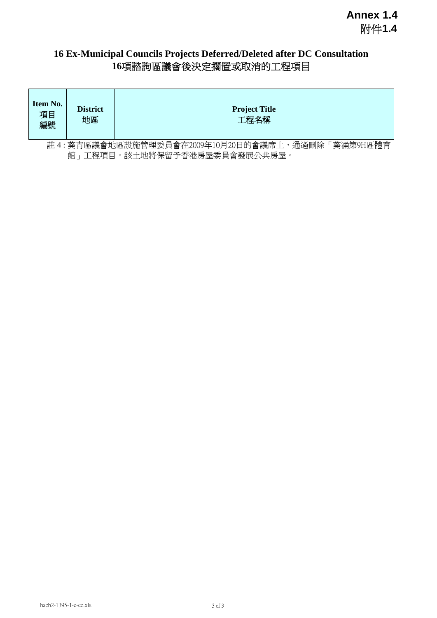### **16 Ex-Municipal Councils Projects Deferred/Deleted after DC Consultation 16**項諮詢區議會後決定擱置或取消的工程項目

| Item No.<br>項目<br>編號                                | <b>District</b><br>地區           | <b>Project Title</b><br>工程名稱 |  |  |  |
|-----------------------------------------------------|---------------------------------|------------------------------|--|--|--|
| 註4:葵青區議會地區設施管理委員會在2009年10月20日的會議席上,通過刪除<br>葵涌第9H區體育 |                                 |                              |  |  |  |
|                                                     | 工程項目。該土地將保留予香港房屋委員會發展公共房屋。<br>館 |                              |  |  |  |

hacb2-1395-1-e-ec.xls 3 of 3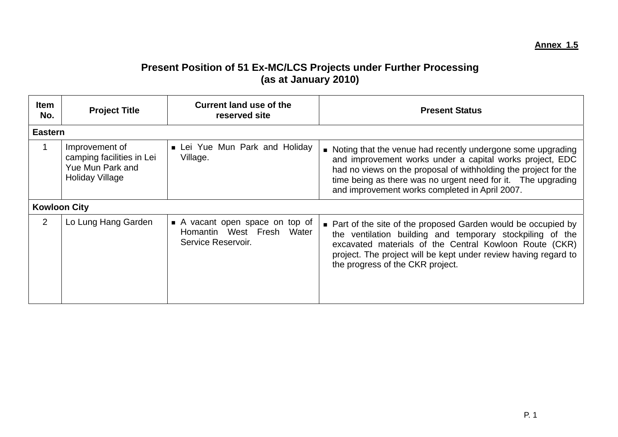## **Present Position of 51 Ex-MC/LCS Projects under Further Processing (as at January 2010)**

| Item<br>No.         | <b>Project Title</b>                                                                             | <b>Current land use of the</b><br>reserved site                                  | <b>Present Status</b>                                                                                                                                                                                                                                                                                           |
|---------------------|--------------------------------------------------------------------------------------------------|----------------------------------------------------------------------------------|-----------------------------------------------------------------------------------------------------------------------------------------------------------------------------------------------------------------------------------------------------------------------------------------------------------------|
| <b>Eastern</b>      |                                                                                                  |                                                                                  |                                                                                                                                                                                                                                                                                                                 |
|                     | Improvement of<br>camping facilities in Lei<br><b>Yue Mun Park and</b><br><b>Holiday Village</b> | Lei Yue Mun Park and Holiday<br>Village.                                         | • Noting that the venue had recently undergone some upgrading<br>and improvement works under a capital works project, EDC<br>had no views on the proposal of withholding the project for the<br>time being as there was no urgent need for it.  The upgrading<br>and improvement works completed in April 2007. |
| <b>Kowloon City</b> |                                                                                                  |                                                                                  |                                                                                                                                                                                                                                                                                                                 |
| $\overline{2}$      | Lo Lung Hang Garden                                                                              | A vacant open space on top of<br>Homantin West Fresh Water<br>Service Reservoir. | • Part of the site of the proposed Garden would be occupied by<br>the ventilation building and temporary stockpiling of the<br>excavated materials of the Central Kowloon Route (CKR)<br>project. The project will be kept under review having regard to<br>the progress of the CKR project.                    |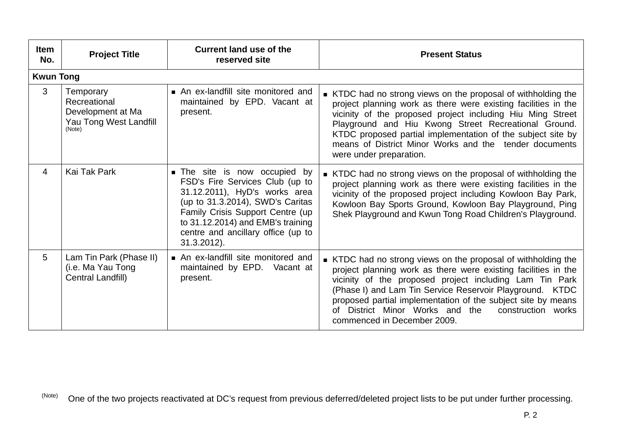| <b>Item</b><br>No. | <b>Project Title</b>                                                               | <b>Current land use of the</b><br>reserved site                                                                                                                                                                                                                             | <b>Present Status</b>                                                                                                                                                                                                                                                                                                                                                                                             |
|--------------------|------------------------------------------------------------------------------------|-----------------------------------------------------------------------------------------------------------------------------------------------------------------------------------------------------------------------------------------------------------------------------|-------------------------------------------------------------------------------------------------------------------------------------------------------------------------------------------------------------------------------------------------------------------------------------------------------------------------------------------------------------------------------------------------------------------|
| <b>Kwun Tong</b>   |                                                                                    |                                                                                                                                                                                                                                                                             |                                                                                                                                                                                                                                                                                                                                                                                                                   |
| 3                  | Temporary<br>Recreational<br>Development at Ma<br>Yau Tong West Landfill<br>(Note) | An ex-landfill site monitored and<br>maintained by EPD. Vacant at<br>present.                                                                                                                                                                                               | ■ KTDC had no strong views on the proposal of withholding the<br>project planning work as there were existing facilities in the<br>vicinity of the proposed project including Hiu Ming Street<br>Playground and Hiu Kwong Street Recreational Ground.<br>KTDC proposed partial implementation of the subject site by<br>means of District Minor Works and the tender documents<br>were under preparation.         |
| 4                  | Kai Tak Park                                                                       | <b>The site is now occupied by</b><br>FSD's Fire Services Club (up to<br>31.12.2011), HyD's works area<br>(up to 31.3.2014), SWD's Caritas<br>Family Crisis Support Centre (up<br>to 31.12.2014) and EMB's training<br>centre and ancillary office (up to<br>$31.3.2012$ ). | ■ KTDC had no strong views on the proposal of withholding the<br>project planning work as there were existing facilities in the<br>vicinity of the proposed project including Kowloon Bay Park,<br>Kowloon Bay Sports Ground, Kowloon Bay Playground, Ping<br>Shek Playground and Kwun Tong Road Children's Playground.                                                                                           |
| 5                  | Lam Tin Park (Phase II)<br>(i.e. Ma Yau Tong<br>Central Landfill)                  | An ex-landfill site monitored and<br>maintained by EPD. Vacant at<br>present.                                                                                                                                                                                               | ■ KTDC had no strong views on the proposal of withholding the<br>project planning work as there were existing facilities in the<br>vicinity of the proposed project including Lam Tin Park<br>(Phase I) and Lam Tin Service Reservoir Playground. KTDC<br>proposed partial implementation of the subject site by means<br>District Minor Works and the<br>construction works<br>of<br>commenced in December 2009. |

(Note) One of the two projects reactivated at DC's request from previous deferred/deleted project lists to be put under further processing.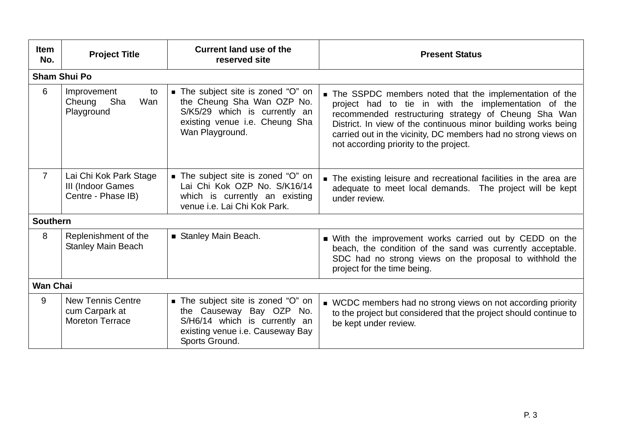| <b>Item</b><br>No. | <b>Project Title</b>                                                 | <b>Current land use of the</b><br>reserved site                                                                                                        | <b>Present Status</b>                                                                                                                                                                                                                                                                                                                                  |  |  |  |
|--------------------|----------------------------------------------------------------------|--------------------------------------------------------------------------------------------------------------------------------------------------------|--------------------------------------------------------------------------------------------------------------------------------------------------------------------------------------------------------------------------------------------------------------------------------------------------------------------------------------------------------|--|--|--|
|                    | <b>Sham Shui Po</b>                                                  |                                                                                                                                                        |                                                                                                                                                                                                                                                                                                                                                        |  |  |  |
| 6                  | Improvement<br>to<br>Cheung<br>Sha<br>Wan<br>Playground              | ■ The subject site is zoned "O" on<br>the Cheung Sha Wan OZP No.<br>S/K5/29 which is currently an<br>existing venue i.e. Cheung Sha<br>Wan Playground. | ■ The SSPDC members noted that the implementation of the<br>project had to tie in with the implementation of the<br>recommended restructuring strategy of Cheung Sha Wan<br>District. In view of the continuous minor building works being<br>carried out in the vicinity, DC members had no strong views on<br>not according priority to the project. |  |  |  |
| $\overline{7}$     | Lai Chi Kok Park Stage<br>III (Indoor Games<br>Centre - Phase IB)    | ■ The subject site is zoned "O" on<br>Lai Chi Kok OZP No. S/K16/14<br>which is currently an existing<br>venue i.e. Lai Chi Kok Park.                   | • The existing leisure and recreational facilities in the area are<br>adequate to meet local demands. The project will be kept<br>under review.                                                                                                                                                                                                        |  |  |  |
| <b>Southern</b>    |                                                                      |                                                                                                                                                        |                                                                                                                                                                                                                                                                                                                                                        |  |  |  |
| 8                  | Replenishment of the<br><b>Stanley Main Beach</b>                    | Stanley Main Beach.                                                                                                                                    | ■ With the improvement works carried out by CEDD on the<br>beach, the condition of the sand was currently acceptable.<br>SDC had no strong views on the proposal to withhold the<br>project for the time being.                                                                                                                                        |  |  |  |
|                    | <b>Wan Chai</b>                                                      |                                                                                                                                                        |                                                                                                                                                                                                                                                                                                                                                        |  |  |  |
| 9                  | <b>New Tennis Centre</b><br>cum Carpark at<br><b>Moreton Terrace</b> | ■ The subject site is zoned "O" on<br>the Causeway Bay OZP No.<br>S/H6/14 which is currently an<br>existing venue i.e. Causeway Bay<br>Sports Ground.  | ■ WCDC members had no strong views on not according priority<br>to the project but considered that the project should continue to<br>be kept under review.                                                                                                                                                                                             |  |  |  |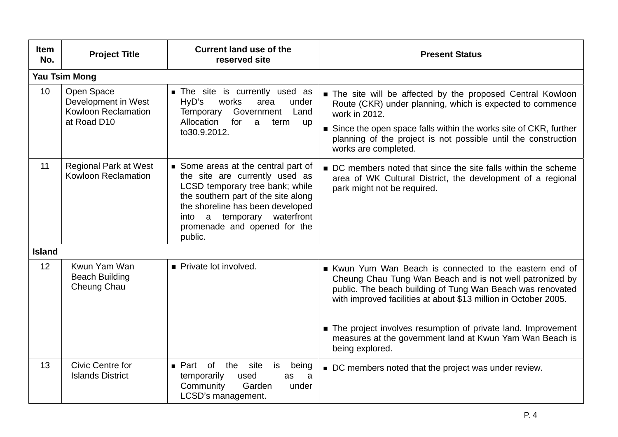| <b>Item</b><br>No. | <b>Project Title</b>                                                           | <b>Current land use of the</b><br>reserved site                                                                                                                                                                                                                | <b>Present Status</b>                                                                                                                                                                                                                                                                                 |
|--------------------|--------------------------------------------------------------------------------|----------------------------------------------------------------------------------------------------------------------------------------------------------------------------------------------------------------------------------------------------------------|-------------------------------------------------------------------------------------------------------------------------------------------------------------------------------------------------------------------------------------------------------------------------------------------------------|
|                    | <b>Yau Tsim Mong</b>                                                           |                                                                                                                                                                                                                                                                |                                                                                                                                                                                                                                                                                                       |
| 10 <sup>°</sup>    | Open Space<br>Development in West<br><b>Kowloon Reclamation</b><br>at Road D10 | The site is currently used as<br>HyD's<br>works<br>area<br>under<br>Government Land<br><b>Temporary</b><br>Allocation<br>for<br>a<br>term<br><b>up</b><br>to30.9.2012.                                                                                         | The site will be affected by the proposed Central Kowloon<br>Route (CKR) under planning, which is expected to commence<br>work in 2012.<br>Since the open space falls within the works site of CKR, further<br>planning of the project is not possible until the construction<br>works are completed. |
| 11                 | <b>Regional Park at West</b><br>Kowloon Reclamation                            | Some areas at the central part of<br>the site are currently used as<br>LCSD temporary tree bank; while<br>the southern part of the site along<br>the shoreline has been developed<br>a temporary waterfront<br>into<br>promenade and opened for the<br>public. | DC members noted that since the site falls within the scheme<br>area of WK Cultural District, the development of a regional<br>park might not be required.                                                                                                                                            |
| <b>Island</b>      |                                                                                |                                                                                                                                                                                                                                                                |                                                                                                                                                                                                                                                                                                       |
| 12 <sup>°</sup>    | Kwun Yam Wan<br><b>Beach Building</b><br>Cheung Chau                           | Private lot involved.                                                                                                                                                                                                                                          | Kwun Yum Wan Beach is connected to the eastern end of<br>Cheung Chau Tung Wan Beach and is not well patronized by<br>public. The beach building of Tung Wan Beach was renovated<br>with improved facilities at about \$13 million in October 2005.                                                    |
|                    |                                                                                |                                                                                                                                                                                                                                                                | The project involves resumption of private land. Improvement<br>measures at the government land at Kwun Yam Wan Beach is<br>being explored.                                                                                                                                                           |
| 13                 | <b>Civic Centre for</b><br><b>Islands District</b>                             | of the site<br>is<br>$\blacksquare$ Part<br>being<br>temporarily<br>used<br>as<br>a<br>Garden<br>Community<br>under<br>LCSD's management.                                                                                                                      | ■ DC members noted that the project was under review.                                                                                                                                                                                                                                                 |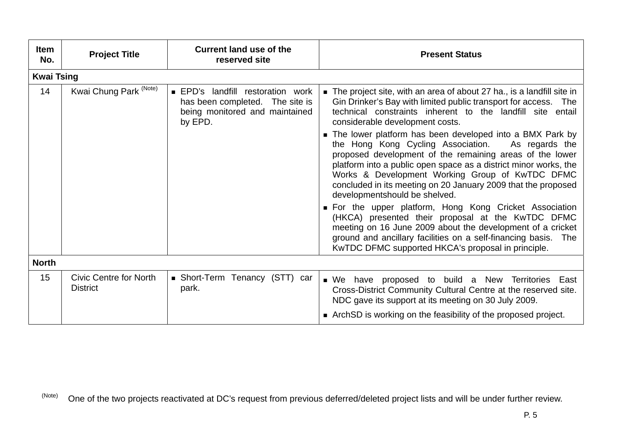| <b>Item</b><br>No. | <b>Project Title</b>                             | <b>Current land use of the</b><br>reserved site                                                                        | <b>Present Status</b>                                                                                                                                                                                                                                                                                                                                                                                                                                                                                                                                                                                                                                                                                                                                                                                                            |
|--------------------|--------------------------------------------------|------------------------------------------------------------------------------------------------------------------------|----------------------------------------------------------------------------------------------------------------------------------------------------------------------------------------------------------------------------------------------------------------------------------------------------------------------------------------------------------------------------------------------------------------------------------------------------------------------------------------------------------------------------------------------------------------------------------------------------------------------------------------------------------------------------------------------------------------------------------------------------------------------------------------------------------------------------------|
| <b>Kwai Tsing</b>  |                                                  |                                                                                                                        |                                                                                                                                                                                                                                                                                                                                                                                                                                                                                                                                                                                                                                                                                                                                                                                                                                  |
| 14                 | Kwai Chung Park <sup>(Note)</sup>                | <b>EPD's landfill restoration work</b><br>has been completed. The site is<br>being monitored and maintained<br>by EPD. | The project site, with an area of about 27 ha., is a landfill site in<br>Gin Drinker's Bay with limited public transport for access. The<br>technical constraints inherent to the landfill site entail<br>considerable development costs.<br>The lower platform has been developed into a BMX Park by<br>the Hong Kong Cycling Association.<br>As regards the<br>proposed development of the remaining areas of the lower<br>platform into a public open space as a district minor works, the<br>Works & Development Working Group of KwTDC DFMC<br>concluded in its meeting on 20 January 2009 that the proposed<br>developmentshould be shelved.<br>• For the upper platform, Hong Kong Cricket Association<br>(HKCA) presented their proposal at the KwTDC DFMC<br>meeting on 16 June 2009 about the development of a cricket |
|                    |                                                  |                                                                                                                        | ground and ancillary facilities on a self-financing basis.<br><b>The</b><br>KwTDC DFMC supported HKCA's proposal in principle.                                                                                                                                                                                                                                                                                                                                                                                                                                                                                                                                                                                                                                                                                                   |
| <b>North</b>       |                                                  |                                                                                                                        |                                                                                                                                                                                                                                                                                                                                                                                                                                                                                                                                                                                                                                                                                                                                                                                                                                  |
| 15                 | <b>Civic Centre for North</b><br><b>District</b> | • Short-Term Tenancy (STT) car<br>park.                                                                                | have proposed to build a New Territories East<br>$\blacksquare$ We<br>Cross-District Community Cultural Centre at the reserved site.<br>NDC gave its support at its meeting on 30 July 2009.<br>ArchSD is working on the feasibility of the proposed project.                                                                                                                                                                                                                                                                                                                                                                                                                                                                                                                                                                    |

(Note) One of the two projects reactivated at DC's request from previous deferred/deleted project lists and will be under further review.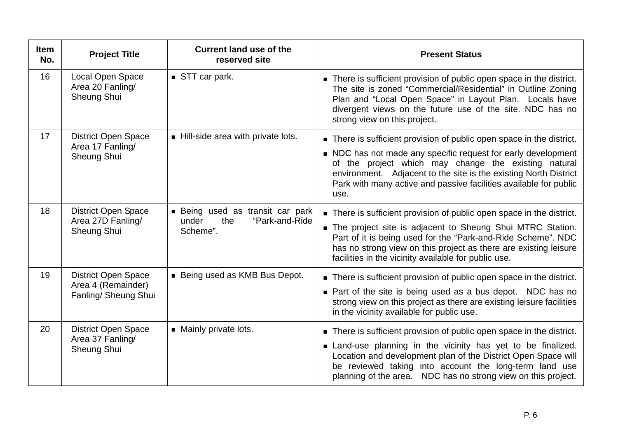| <b>Item</b><br>No. | <b>Project Title</b>                                | <b>Current land use of the</b><br>reserved site                    | <b>Present Status</b>                                                                                                                                                                                                                                                                       |
|--------------------|-----------------------------------------------------|--------------------------------------------------------------------|---------------------------------------------------------------------------------------------------------------------------------------------------------------------------------------------------------------------------------------------------------------------------------------------|
| 16                 | Local Open Space<br>Area 20 Fanling/<br>Sheung Shui | STT car park.                                                      | There is sufficient provision of public open space in the district.<br>The site is zoned "Commercial/Residential" in Outline Zoning<br>Plan and "Local Open Space" in Layout Plan. Locals have<br>divergent views on the future use of the site. NDC has no<br>strong view on this project. |
| 17                 | <b>District Open Space</b><br>Area 17 Fanling/      | Hill-side area with private lots.                                  | There is sufficient provision of public open space in the district.                                                                                                                                                                                                                         |
|                    | Sheung Shui                                         |                                                                    | NDC has not made any specific request for early development<br>of the project which may change the existing natural<br>environment. Adjacent to the site is the existing North District<br>Park with many active and passive facilities available for public<br>use.                        |
| 18                 | <b>District Open Space</b><br>Area 27D Fanling/     | ■ Being used as transit car park<br>the<br>"Park-and-Ride<br>under | There is sufficient provision of public open space in the district.                                                                                                                                                                                                                         |
|                    | Sheung Shui                                         | Scheme".                                                           | The project site is adjacent to Sheung Shui MTRC Station.<br>Part of it is being used for the "Park-and-Ride Scheme". NDC<br>has no strong view on this project as there are existing leisure<br>facilities in the vicinity available for public use.                                       |
| 19                 | <b>District Open Space</b><br>Area 4 (Remainder)    | Being used as KMB Bus Depot.                                       | There is sufficient provision of public open space in the district.                                                                                                                                                                                                                         |
|                    | Fanling/ Sheung Shui                                |                                                                    | • Part of the site is being used as a bus depot. NDC has no<br>strong view on this project as there are existing leisure facilities<br>in the vicinity available for public use.                                                                                                            |
| 20                 | <b>District Open Space</b><br>Area 37 Fanling/      | • Mainly private lots.                                             | There is sufficient provision of public open space in the district.                                                                                                                                                                                                                         |
|                    | Sheung Shui                                         |                                                                    | Land-use planning in the vicinity has yet to be finalized.<br>Location and development plan of the District Open Space will<br>be reviewed taking into account the long-term land use<br>planning of the area. NDC has no strong view on this project.                                      |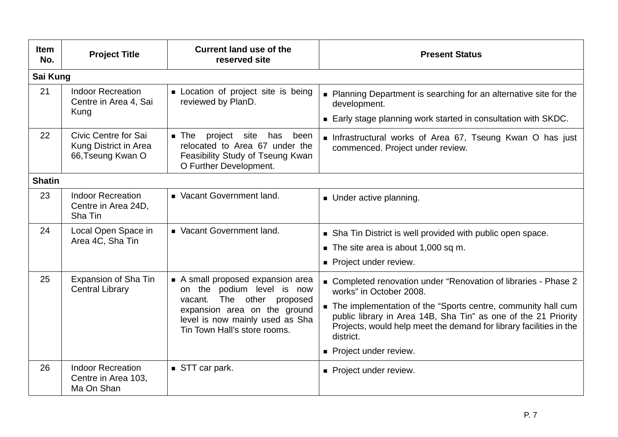| <b>Item</b><br>No. | <b>Project Title</b>                                               | <b>Current land use of the</b><br>reserved site                                                                                                                                                   | <b>Present Status</b>                                                                                                                                                                                                                                                                                                                      |  |  |
|--------------------|--------------------------------------------------------------------|---------------------------------------------------------------------------------------------------------------------------------------------------------------------------------------------------|--------------------------------------------------------------------------------------------------------------------------------------------------------------------------------------------------------------------------------------------------------------------------------------------------------------------------------------------|--|--|
| Sai Kung           |                                                                    |                                                                                                                                                                                                   |                                                                                                                                                                                                                                                                                                                                            |  |  |
| 21                 | <b>Indoor Recreation</b><br>Centre in Area 4, Sai                  | Location of project site is being<br>reviewed by PlanD.                                                                                                                                           | • Planning Department is searching for an alternative site for the<br>development.                                                                                                                                                                                                                                                         |  |  |
|                    | Kung                                                               |                                                                                                                                                                                                   | Early stage planning work started in consultation with SKDC.                                                                                                                                                                                                                                                                               |  |  |
| 22                 | Civic Centre for Sai<br>Kung District in Area<br>66, Tseung Kwan O | $\blacksquare$ The<br>project site<br>been<br>has<br>relocated to Area 67 under the<br>Feasibility Study of Tseung Kwan<br>O Further Development.                                                 | Infrastructural works of Area 67, Tseung Kwan O has just<br>commenced. Project under review.                                                                                                                                                                                                                                               |  |  |
| <b>Shatin</b>      |                                                                    |                                                                                                                                                                                                   |                                                                                                                                                                                                                                                                                                                                            |  |  |
| 23                 | <b>Indoor Recreation</b><br>Centre in Area 24D,<br>Sha Tin         | Vacant Government land.                                                                                                                                                                           | Under active planning.                                                                                                                                                                                                                                                                                                                     |  |  |
| 24                 | Local Open Space in<br>Area 4C, Sha Tin                            | Vacant Government land.                                                                                                                                                                           | • Sha Tin District is well provided with public open space.<br>$\blacksquare$ The site area is about 1,000 sq m.<br>• Project under review.                                                                                                                                                                                                |  |  |
| 25                 | Expansion of Sha Tin<br><b>Central Library</b>                     | A small proposed expansion area<br>on the podium level is now<br>The other proposed<br>vacant.<br>expansion area on the ground<br>level is now mainly used as Sha<br>Tin Town Hall's store rooms. | ■ Completed renovation under "Renovation of libraries - Phase 2<br>works" in October 2008.<br>The implementation of the "Sports centre, community hall cum<br>public library in Area 14B, Sha Tin" as one of the 21 Priority<br>Projects, would help meet the demand for library facilities in the<br>district.<br>• Project under review. |  |  |
| 26                 | <b>Indoor Recreation</b><br>Centre in Area 103,<br>Ma On Shan      | STT car park.                                                                                                                                                                                     | • Project under review.                                                                                                                                                                                                                                                                                                                    |  |  |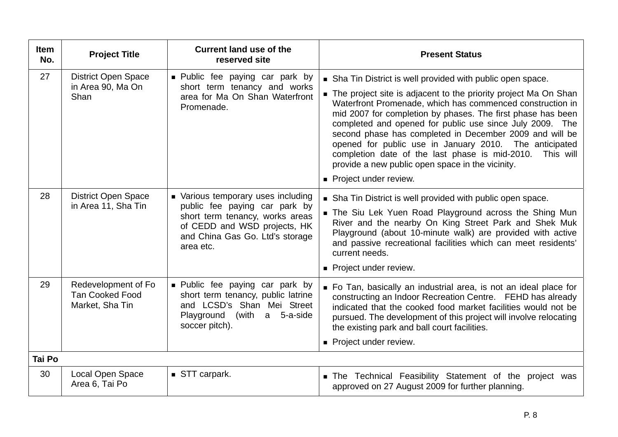| <b>Item</b><br>No. | <b>Project Title</b>                                             | <b>Current land use of the</b><br>reserved site                                                                                                            | <b>Present Status</b>                                                                                                                                                                                                                                                                                                                                                                                                                                                                           |
|--------------------|------------------------------------------------------------------|------------------------------------------------------------------------------------------------------------------------------------------------------------|-------------------------------------------------------------------------------------------------------------------------------------------------------------------------------------------------------------------------------------------------------------------------------------------------------------------------------------------------------------------------------------------------------------------------------------------------------------------------------------------------|
| 27                 | <b>District Open Space</b>                                       | <b>Public fee paying car park by</b>                                                                                                                       | Sha Tin District is well provided with public open space.                                                                                                                                                                                                                                                                                                                                                                                                                                       |
|                    | in Area 90, Ma On<br>Shan                                        | short term tenancy and works<br>area for Ma On Shan Waterfront<br>Promenade.                                                                               | The project site is adjacent to the priority project Ma On Shan<br>Waterfront Promenade, which has commenced construction in<br>mid 2007 for completion by phases. The first phase has been<br>completed and opened for public use since July 2009. The<br>second phase has completed in December 2009 and will be<br>opened for public use in January 2010. The anticipated<br>completion date of the last phase is mid-2010.<br>This will<br>provide a new public open space in the vicinity. |
|                    |                                                                  |                                                                                                                                                            | Project under review.                                                                                                                                                                                                                                                                                                                                                                                                                                                                           |
| 28                 | <b>District Open Space</b>                                       | • Various temporary uses including                                                                                                                         | Sha Tin District is well provided with public open space.                                                                                                                                                                                                                                                                                                                                                                                                                                       |
|                    | in Area 11, Sha Tin                                              | public fee paying car park by<br>short term tenancy, works areas<br>of CEDD and WSD projects, HK<br>and China Gas Go. Ltd's storage<br>area etc.           | The Siu Lek Yuen Road Playground across the Shing Mun<br>River and the nearby On King Street Park and Shek Muk<br>Playground (about 10-minute walk) are provided with active<br>and passive recreational facilities which can meet residents'<br>current needs.                                                                                                                                                                                                                                 |
|                    |                                                                  |                                                                                                                                                            | • Project under review.                                                                                                                                                                                                                                                                                                                                                                                                                                                                         |
| 29                 | Redevelopment of Fo<br><b>Tan Cooked Food</b><br>Market, Sha Tin | · Public fee paying car park by<br>short term tenancy, public latrine<br>and LCSD's Shan Mei Street<br>Playground<br>(with<br>a 5-a-side<br>soccer pitch). | • Fo Tan, basically an industrial area, is not an ideal place for<br>constructing an Indoor Recreation Centre. FEHD has already<br>indicated that the cooked food market facilities would not be<br>pursued. The development of this project will involve relocating<br>the existing park and ball court facilities.                                                                                                                                                                            |
|                    |                                                                  |                                                                                                                                                            | Project under review.                                                                                                                                                                                                                                                                                                                                                                                                                                                                           |
| Tai Po             |                                                                  |                                                                                                                                                            |                                                                                                                                                                                                                                                                                                                                                                                                                                                                                                 |
| 30                 | Local Open Space<br>Area 6, Tai Po                               | STT carpark.                                                                                                                                               | The Technical Feasibility Statement of the project was<br>approved on 27 August 2009 for further planning.                                                                                                                                                                                                                                                                                                                                                                                      |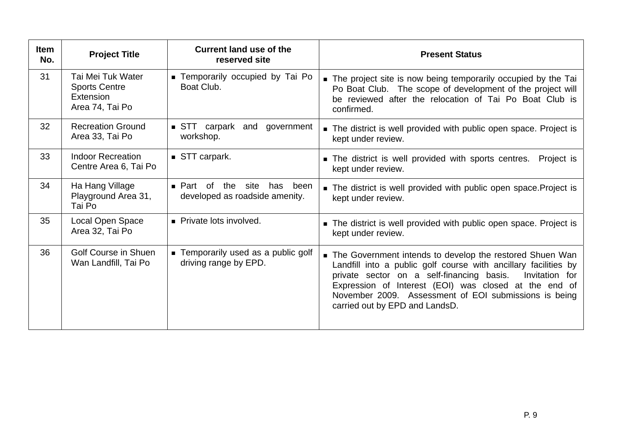| <b>Item</b><br>No. | <b>Project Title</b>                                                      | <b>Current land use of the</b><br>reserved site                        | <b>Present Status</b>                                                                                                                                                                                                                                                                                                                          |  |  |
|--------------------|---------------------------------------------------------------------------|------------------------------------------------------------------------|------------------------------------------------------------------------------------------------------------------------------------------------------------------------------------------------------------------------------------------------------------------------------------------------------------------------------------------------|--|--|
| 31                 | Tai Mei Tuk Water<br><b>Sports Centre</b><br>Extension<br>Area 74, Tai Po | ■ Temporarily occupied by Tai Po<br>Boat Club.                         | • The project site is now being temporarily occupied by the Tai<br>Po Boat Club. The scope of development of the project will<br>be reviewed after the relocation of Tai Po Boat Club is<br>confirmed.                                                                                                                                         |  |  |
| 32                 | <b>Recreation Ground</b><br>Area 33, Tai Po                               | $\blacksquare$ STT carpark<br>and government<br>workshop.              | The district is well provided with public open space. Project is<br>kept under review.                                                                                                                                                                                                                                                         |  |  |
| 33                 | <b>Indoor Recreation</b><br>Centre Area 6, Tai Po                         | ■ STT carpark.                                                         | The district is well provided with sports centres.<br>Project is<br>kept under review.                                                                                                                                                                                                                                                         |  |  |
| 34                 | Ha Hang Village<br>Playground Area 31,<br>Tai Po                          | ■ Part of<br>the<br>site<br>has been<br>developed as roadside amenity. | The district is well provided with public open space. Project is<br>kept under review.                                                                                                                                                                                                                                                         |  |  |
| 35                 | Local Open Space<br>Area 32, Tai Po                                       | • Private lots involved.                                               | • The district is well provided with public open space. Project is<br>kept under review.                                                                                                                                                                                                                                                       |  |  |
| 36                 | <b>Golf Course in Shuen</b><br>Wan Landfill, Tai Po                       | ■ Temporarily used as a public golf<br>driving range by EPD.           | The Government intends to develop the restored Shuen Wan<br>Landfill into a public golf course with ancillary facilities by<br>private sector on a self-financing basis.<br>Invitation for<br>Expression of Interest (EOI) was closed at the end of<br>November 2009. Assessment of EOI submissions is being<br>carried out by EPD and LandsD. |  |  |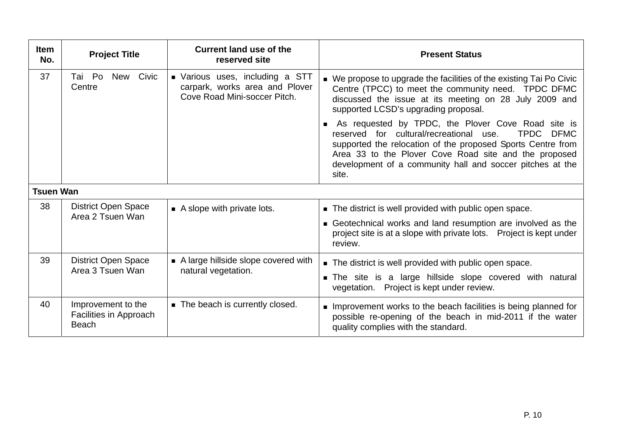| <b>Item</b><br>No. | <b>Project Title</b>                                         | <b>Current land use of the</b><br>reserved site                                                   | <b>Present Status</b>                                                                                                                                                                                                                                                                                                     |
|--------------------|--------------------------------------------------------------|---------------------------------------------------------------------------------------------------|---------------------------------------------------------------------------------------------------------------------------------------------------------------------------------------------------------------------------------------------------------------------------------------------------------------------------|
| 37                 | Tai Po<br>Civic<br>New<br>Centre                             | • Various uses, including a STT<br>carpark, works area and Plover<br>Cove Road Mini-soccer Pitch. | ■ We propose to upgrade the facilities of the existing Tai Po Civic<br>Centre (TPCC) to meet the community need. TPDC DFMC<br>discussed the issue at its meeting on 28 July 2009 and<br>supported LCSD's upgrading proposal.                                                                                              |
|                    |                                                              |                                                                                                   | As requested by TPDC, the Plover Cove Road site is<br>reserved for cultural/recreational use.<br><b>TPDC</b><br><b>DFMC</b><br>supported the relocation of the proposed Sports Centre from<br>Area 33 to the Plover Cove Road site and the proposed<br>development of a community hall and soccer pitches at the<br>site. |
| <b>Tsuen Wan</b>   |                                                              |                                                                                                   |                                                                                                                                                                                                                                                                                                                           |
| 38                 | <b>District Open Space</b>                                   | $\blacksquare$ A slope with private lots.                                                         | The district is well provided with public open space.                                                                                                                                                                                                                                                                     |
|                    | Area 2 Tsuen Wan                                             |                                                                                                   | Geotechnical works and land resumption are involved as the<br>project site is at a slope with private lots. Project is kept under<br>review.                                                                                                                                                                              |
| 39                 | <b>District Open Space</b>                                   | A large hillside slope covered with                                                               | The district is well provided with public open space.                                                                                                                                                                                                                                                                     |
|                    | Area 3 Tsuen Wan                                             | natural vegetation.                                                                               | The site is a large hillside slope covered with natural<br>vegetation. Project is kept under review.                                                                                                                                                                                                                      |
| 40                 | Improvement to the<br>Facilities in Approach<br><b>Beach</b> | ■ The beach is currently closed.                                                                  | Improvement works to the beach facilities is being planned for<br>possible re-opening of the beach in mid-2011 if the water<br>quality complies with the standard.                                                                                                                                                        |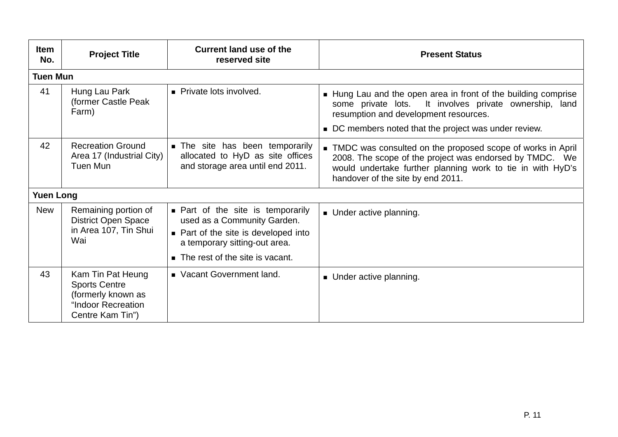| <b>Item</b><br>No. | <b>Project Title</b>                                                                                      | <b>Current land use of the</b><br>reserved site                                                                                                                                                | <b>Present Status</b>                                                                                                                                                                                                         |  |  |
|--------------------|-----------------------------------------------------------------------------------------------------------|------------------------------------------------------------------------------------------------------------------------------------------------------------------------------------------------|-------------------------------------------------------------------------------------------------------------------------------------------------------------------------------------------------------------------------------|--|--|
| <b>Tuen Mun</b>    |                                                                                                           |                                                                                                                                                                                                |                                                                                                                                                                                                                               |  |  |
| 41                 | Hung Lau Park<br>(former Castle Peak<br>Farm)                                                             | • Private lots involved.                                                                                                                                                                       | • Hung Lau and the open area in front of the building comprise<br>It involves private ownership, land<br>some private lots.<br>resumption and development resources.<br>■ DC members noted that the project was under review. |  |  |
| 42                 | <b>Recreation Ground</b><br>Area 17 (Industrial City)<br>Tuen Mun                                         | The site has been temporarily<br>allocated to HyD as site offices<br>and storage area until end 2011.                                                                                          | • TMDC was consulted on the proposed scope of works in April<br>2008. The scope of the project was endorsed by TMDC. We<br>would undertake further planning work to tie in with HyD's<br>handover of the site by end 2011.    |  |  |
| <b>Yuen Long</b>   |                                                                                                           |                                                                                                                                                                                                |                                                                                                                                                                                                                               |  |  |
| <b>New</b>         | Remaining portion of<br><b>District Open Space</b><br>in Area 107, Tin Shui<br>Wai                        | • Part of the site is temporarily<br>used as a Community Garden.<br>• Part of the site is developed into<br>a temporary sitting-out area.<br>The rest of the site is vacant.<br>$\blacksquare$ | • Under active planning.                                                                                                                                                                                                      |  |  |
| 43                 | Kam Tin Pat Heung<br><b>Sports Centre</b><br>(formerly known as<br>"Indoor Recreation<br>Centre Kam Tin") | Vacant Government land.                                                                                                                                                                        | • Under active planning.                                                                                                                                                                                                      |  |  |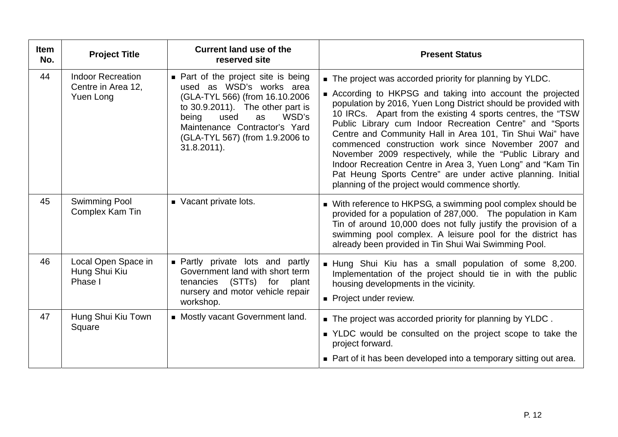| <b>Item</b><br>No. | <b>Project Title</b>                                        | <b>Current land use of the</b><br>reserved site                                                                                                                                                                                                             | <b>Present Status</b>                                                                                                                                                                                                                                                                                                                                                                                                                                                                                                                                                                                                                                                                |  |
|--------------------|-------------------------------------------------------------|-------------------------------------------------------------------------------------------------------------------------------------------------------------------------------------------------------------------------------------------------------------|--------------------------------------------------------------------------------------------------------------------------------------------------------------------------------------------------------------------------------------------------------------------------------------------------------------------------------------------------------------------------------------------------------------------------------------------------------------------------------------------------------------------------------------------------------------------------------------------------------------------------------------------------------------------------------------|--|
| 44                 | <b>Indoor Recreation</b><br>Centre in Area 12,<br>Yuen Long | • Part of the project site is being<br>used as WSD's works area<br>(GLA-TYL 566) (from 16.10.2006<br>to $30.9.2011$ ). The other part is<br>WSD's<br>being<br>used<br>as<br>Maintenance Contractor's Yard<br>(GLA-TYL 567) (from 1.9.2006 to<br>31.8.2011). | • The project was accorded priority for planning by YLDC.<br>According to HKPSG and taking into account the projected<br>population by 2016, Yuen Long District should be provided with<br>10 IRCs. Apart from the existing 4 sports centres, the "TSW<br>Public Library cum Indoor Recreation Centre" and "Sports<br>Centre and Community Hall in Area 101, Tin Shui Wai" have<br>commenced construction work since November 2007 and<br>November 2009 respectively, while the "Public Library and<br>Indoor Recreation Centre in Area 3, Yuen Long" and "Kam Tin<br>Pat Heung Sports Centre" are under active planning. Initial<br>planning of the project would commence shortly. |  |
| 45                 | <b>Swimming Pool</b><br>Complex Kam Tin                     | Vacant private lots.                                                                                                                                                                                                                                        | ■ With reference to HKPSG, a swimming pool complex should be<br>provided for a population of 287,000. The population in Kam<br>Tin of around 10,000 does not fully justify the provision of a<br>swimming pool complex. A leisure pool for the district has<br>already been provided in Tin Shui Wai Swimming Pool.                                                                                                                                                                                                                                                                                                                                                                  |  |
| 46                 | Local Open Space in<br>Hung Shui Kiu<br>Phase I             | <b>Partly private lots and partly</b><br>Government land with short term<br>tenancies (STTs) for<br>plant<br>nursery and motor vehicle repair<br>workshop.                                                                                                  | Hung Shui Kiu has a small population of some 8,200.<br>Implementation of the project should tie in with the public<br>housing developments in the vicinity.<br>Project under review.                                                                                                                                                                                                                                                                                                                                                                                                                                                                                                 |  |
| 47                 | Hung Shui Kiu Town<br>Square                                | • Mostly vacant Government land.                                                                                                                                                                                                                            | ■ The project was accorded priority for planning by YLDC.<br>■ YLDC would be consulted on the project scope to take the<br>project forward.<br>• Part of it has been developed into a temporary sitting out area.                                                                                                                                                                                                                                                                                                                                                                                                                                                                    |  |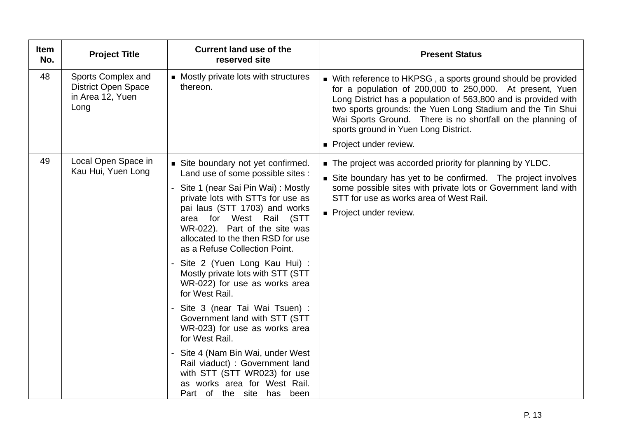| <b>Item</b><br>No. | <b>Project Title</b>                                                         | <b>Current land use of the</b><br>reserved site                                                                                                                                                                                                                                                                                                                                                                                                                                                                                                                                                                                        | <b>Present Status</b>                                                                                                                                                                                                                                                                                                                                                                     |
|--------------------|------------------------------------------------------------------------------|----------------------------------------------------------------------------------------------------------------------------------------------------------------------------------------------------------------------------------------------------------------------------------------------------------------------------------------------------------------------------------------------------------------------------------------------------------------------------------------------------------------------------------------------------------------------------------------------------------------------------------------|-------------------------------------------------------------------------------------------------------------------------------------------------------------------------------------------------------------------------------------------------------------------------------------------------------------------------------------------------------------------------------------------|
| 48                 | Sports Complex and<br><b>District Open Space</b><br>in Area 12, Yuen<br>Long | • Mostly private lots with structures<br>thereon.                                                                                                                                                                                                                                                                                                                                                                                                                                                                                                                                                                                      | ■ With reference to HKPSG, a sports ground should be provided<br>for a population of 200,000 to 250,000. At present, Yuen<br>Long District has a population of 563,800 and is provided with<br>two sports grounds: the Yuen Long Stadium and the Tin Shui<br>Wai Sports Ground. There is no shortfall on the planning of<br>sports ground in Yuen Long District.<br>Project under review. |
| 49                 | Local Open Space in<br>Kau Hui, Yuen Long                                    | Site boundary not yet confirmed.<br>Land use of some possible sites :<br>Site 1 (near Sai Pin Wai) : Mostly<br>private lots with STTs for use as<br>pai laus (STT 1703) and works<br>area for West Rail (STT<br>WR-022). Part of the site was<br>allocated to the then RSD for use<br>as a Refuse Collection Point.<br>Site 2 (Yuen Long Kau Hui) :<br>Mostly private lots with STT (STT<br>WR-022) for use as works area<br>for West Rail.<br>Site 3 (near Tai Wai Tsuen) :<br>Government land with STT (STT<br>WR-023) for use as works area<br>for West Rail.<br>Site 4 (Nam Bin Wai, under West<br>Rail viaduct) : Government land | The project was accorded priority for planning by YLDC.<br>Site boundary has yet to be confirmed. The project involves<br>some possible sites with private lots or Government land with<br>STT for use as works area of West Rail.<br>Project under review.                                                                                                                               |
|                    |                                                                              | with STT (STT WR023) for use<br>as works area for West Rail.<br>Part of the site has been                                                                                                                                                                                                                                                                                                                                                                                                                                                                                                                                              |                                                                                                                                                                                                                                                                                                                                                                                           |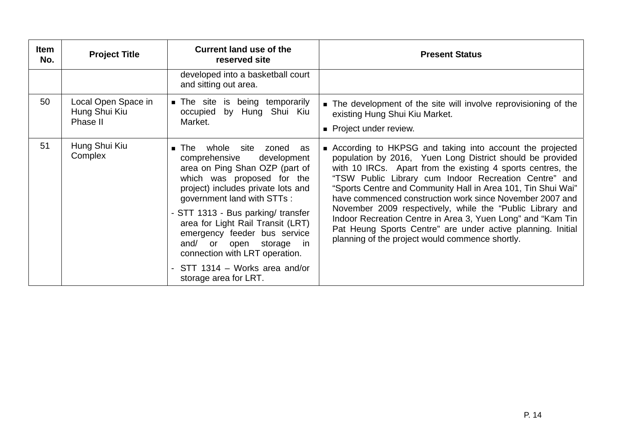| <b>Item</b><br>No. | <b>Project Title</b>                             | <b>Current land use of the</b><br>reserved site                                                                                                                                                                                                                                                                                                                                                                               | <b>Present Status</b>                                                                                                                                                                                                                                                                                                                                                                                                                                                                                                                                                                                                     |
|--------------------|--------------------------------------------------|-------------------------------------------------------------------------------------------------------------------------------------------------------------------------------------------------------------------------------------------------------------------------------------------------------------------------------------------------------------------------------------------------------------------------------|---------------------------------------------------------------------------------------------------------------------------------------------------------------------------------------------------------------------------------------------------------------------------------------------------------------------------------------------------------------------------------------------------------------------------------------------------------------------------------------------------------------------------------------------------------------------------------------------------------------------------|
|                    |                                                  | developed into a basketball court<br>and sitting out area.                                                                                                                                                                                                                                                                                                                                                                    |                                                                                                                                                                                                                                                                                                                                                                                                                                                                                                                                                                                                                           |
| 50                 | Local Open Space in<br>Hung Shui Kiu<br>Phase II | <b>The site is being temporarily</b><br>occupied by Hung Shui Kiu<br>Market.                                                                                                                                                                                                                                                                                                                                                  | The development of the site will involve reprovisioning of the<br>existing Hung Shui Kiu Market.<br>Project under review.                                                                                                                                                                                                                                                                                                                                                                                                                                                                                                 |
| 51                 | Hung Shui Kiu<br>Complex                         | The whole site zoned as<br>comprehensive<br>development<br>area on Ping Shan OZP (part of<br>which was proposed for the<br>project) includes private lots and<br>government land with STTs :<br>- STT 1313 - Bus parking/ transfer<br>area for Light Rail Transit (LRT)<br>emergency feeder bus service<br>and/ or open storage in<br>connection with LRT operation.<br>STT 1314 - Works area and/or<br>storage area for LRT. | ■ According to HKPSG and taking into account the projected<br>population by 2016, Yuen Long District should be provided<br>with 10 IRCs. Apart from the existing 4 sports centres, the<br>"TSW Public Library cum Indoor Recreation Centre" and<br>"Sports Centre and Community Hall in Area 101, Tin Shui Wai"<br>have commenced construction work since November 2007 and<br>November 2009 respectively, while the "Public Library and<br>Indoor Recreation Centre in Area 3, Yuen Long" and "Kam Tin<br>Pat Heung Sports Centre" are under active planning. Initial<br>planning of the project would commence shortly. |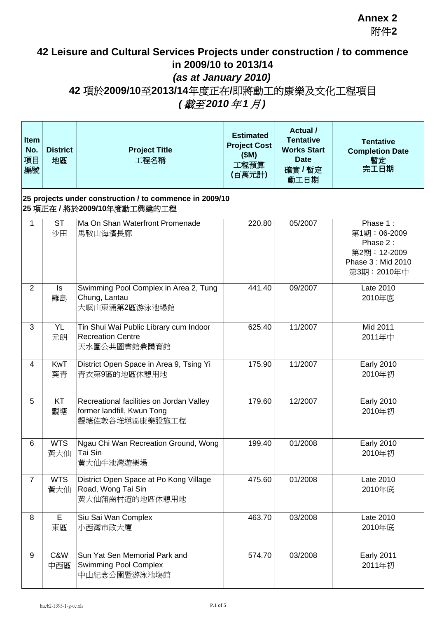## **42 Leisure and Cultural Services Projects under construction / to commence in 2009/10 to 2013/14** *(as at January 2010)* **42** 項於**2009/10**至**2013/14**年度正在**/**即將動工的康樂及文化工程項目 *(* 截至*2010* 年*1* 月*)*

| <b>Item</b><br>No.<br>項目<br>編號 | <b>District</b><br>地區                                                                | <b>Project Title</b><br>工程名稱                                                             | <b>Estimated</b><br><b>Project Cost</b><br>(SM)<br>工程預算<br>(百萬元計) | <b>Actual</b> /<br><b>Tentative</b><br><b>Works Start</b><br><b>Date</b><br>確實 / 暫定<br>動工日期 | <b>Tentative</b><br><b>Completion Date</b><br>暫定<br>完工日期                               |  |  |  |
|--------------------------------|--------------------------------------------------------------------------------------|------------------------------------------------------------------------------------------|-------------------------------------------------------------------|---------------------------------------------------------------------------------------------|----------------------------------------------------------------------------------------|--|--|--|
|                                | 25 projects under construction / to commence in 2009/10<br>25 項正在/將於2009/10年度動工興建的工程 |                                                                                          |                                                                   |                                                                                             |                                                                                        |  |  |  |
| 1                              | <b>ST</b><br>沙田                                                                      | Ma On Shan Waterfront Promenade<br>馬鞍山海濱長廊                                               | 220.80                                                            | 05/2007                                                                                     | Phase 1:<br>第1期:06-2009<br>Phase 2:<br>第2期: 12-2009<br>Phase 3: Mid 2010<br>第3期:2010年中 |  |  |  |
| 2                              | Is<br>離島                                                                             | Swimming Pool Complex in Area 2, Tung<br>Chung, Lantau<br>大嶼山東涌第2區游泳池場館                  | 441.40                                                            | 09/2007                                                                                     | Late 2010<br>2010年底                                                                    |  |  |  |
| 3                              | YL<br>元朗                                                                             | Tin Shui Wai Public Library cum Indoor<br><b>Recreation Centre</b><br>天水圍公共圖書館兼體育館       | 625.40                                                            | 11/2007                                                                                     | Mid 2011<br>2011年中                                                                     |  |  |  |
| 4                              | <b>KwT</b><br>葵青                                                                     | District Open Space in Area 9, Tsing Yi<br>青衣第9區的地區休憩用地                                  | 175.90                                                            | 11/2007                                                                                     | <b>Early 2010</b><br>2010年初                                                            |  |  |  |
| 5                              | KT<br>觀塘                                                                             | Recreational facilities on Jordan Valley<br>former landfill, Kwun Tong<br>觀塘佐敦谷堆填區康樂設施工程 | 179.60                                                            | 12/2007                                                                                     | <b>Early 2010</b><br>2010年初                                                            |  |  |  |
| 6                              | <b>WTS</b><br>黃大仙                                                                    | Ngau Chi Wan Recreation Ground, Wong<br>Tai Sin<br>黃大仙牛池灣遊樂場                             | 199.40                                                            | 01/2008                                                                                     | <b>Early 2010</b><br>2010年初                                                            |  |  |  |
| $\overline{7}$                 | <b>WTS</b><br>黃大仙                                                                    | District Open Space at Po Kong Village<br>Road, Wong Tai Sin<br>黃大仙蒲崗村道的地區休憩用地           | 475.60                                                            | 01/2008                                                                                     | Late 2010<br>2010年底                                                                    |  |  |  |
| 8                              | E<br>東區                                                                              | Siu Sai Wan Complex<br>小西灣市政大廈                                                           | 463.70                                                            | 03/2008                                                                                     | Late 2010<br>2010年底                                                                    |  |  |  |
| 9                              | C&W<br>中西區                                                                           | Sun Yat Sen Memorial Park and<br><b>Swimming Pool Complex</b><br>中山紀念公園暨游泳池塲館            | 574.70                                                            | 03/2008                                                                                     | <b>Early 2011</b><br>2011年初                                                            |  |  |  |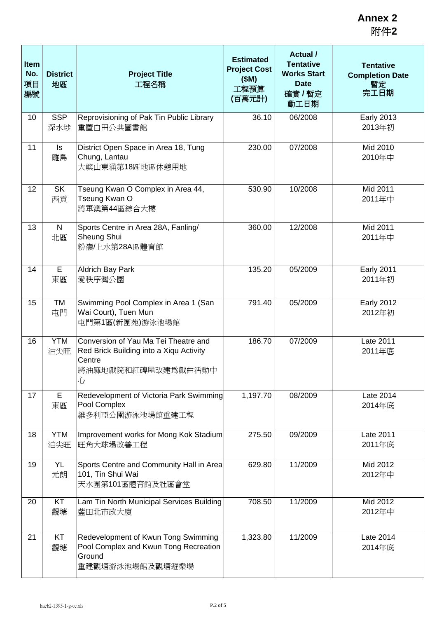| <b>Item</b><br>No.<br>項目<br>編號 | <b>District</b><br>地區 | <b>Project Title</b><br>工程名稱                                                                                         | <b>Estimated</b><br><b>Project Cost</b><br>(SM)<br>工程預算<br>(百萬元計) | <b>Actual</b> /<br><b>Tentative</b><br><b>Works Start</b><br><b>Date</b><br>確實 / 暫定<br>動工日期 | <b>Tentative</b><br><b>Completion Date</b><br>暫定<br>完工日期 |
|--------------------------------|-----------------------|----------------------------------------------------------------------------------------------------------------------|-------------------------------------------------------------------|---------------------------------------------------------------------------------------------|----------------------------------------------------------|
| 10                             | <b>SSP</b><br>深水埗     | Reprovisioning of Pak Tin Public Library<br>重置白田公共圖書館                                                                | 36.10                                                             | 06/2008                                                                                     | <b>Early 2013</b><br>2013年初                              |
| 11                             | ls<br>離島              | District Open Space in Area 18, Tung<br>Chung, Lantau<br>大嶼山東涌第18區地區休憩用地                                             | 230.00                                                            | 07/2008                                                                                     | Mid 2010<br>2010年中                                       |
| 12                             | <b>SK</b><br>西貢       | Tseung Kwan O Complex in Area 44,<br>Tseung Kwan O<br>將軍澳第44區綜合大樓                                                    | 530.90                                                            | 10/2008                                                                                     | Mid 2011<br>2011年中                                       |
| 13                             | $\mathsf{N}$<br>北區    | Sports Centre in Area 28A, Fanling/<br>Sheung Shui<br>粉嶺/上水第28A區體育館                                                  | 360.00                                                            | 12/2008                                                                                     | Mid 2011<br>2011年中                                       |
| 14                             | E<br>東區               | <b>Aldrich Bay Park</b><br>愛秩序灣公園                                                                                    | 135.20                                                            | 05/2009                                                                                     | <b>Early 2011</b><br>2011年初                              |
| 15                             | TM<br>屯門              | Swimming Pool Complex in Area 1 (San<br>Wai Court), Tuen Mun<br>屯門第1區(新圍苑)游泳池場館                                      | 791.40                                                            | 05/2009                                                                                     | <b>Early 2012</b><br>2012年初                              |
| 16                             | <b>YTM</b><br>油尖旺     | Conversion of Yau Ma Tei Theatre and<br>Red Brick Building into a Xiqu Activity<br>Centre<br>將油麻地戲院和紅磚屋改建爲戲曲活動中<br>心 | 186.70                                                            | 07/2009                                                                                     | Late 2011<br>2011年底                                      |
| 17                             | E<br>東區               | Redevelopment of Victoria Park Swimming<br>Pool Complex<br>維多利亞公園游泳池場館重建工程                                           | 1,197.70                                                          | 08/2009                                                                                     | Late 2014<br>2014年底                                      |
| 18                             | <b>YTM</b><br>油尖旺     | Improvement works for Mong Kok Stadium<br>旺角大球場改善工程                                                                  | 275.50                                                            | 09/2009                                                                                     | Late 2011<br>2011年底                                      |
| 19                             | <b>YL</b><br>元朗       | Sports Centre and Community Hall in Area<br>101, Tin Shui Wai<br>天水圍第101區體育館及社區會堂                                    | 629.80                                                            | 11/2009                                                                                     | Mid 2012<br>2012年中                                       |
| 20                             | KT<br>觀塘              | Lam Tin North Municipal Services Building<br>藍田北市政大廈                                                                 | 708.50                                                            | 11/2009                                                                                     | Mid 2012<br>2012年中                                       |
| 21                             | KT<br>觀塘              | Redevelopment of Kwun Tong Swimming<br>Pool Complex and Kwun Tong Recreation<br>Ground<br>重建觀塘游泳池場館及觀塘遊樂場            | 1,323.80                                                          | 11/2009                                                                                     | Late 2014<br>2014年底                                      |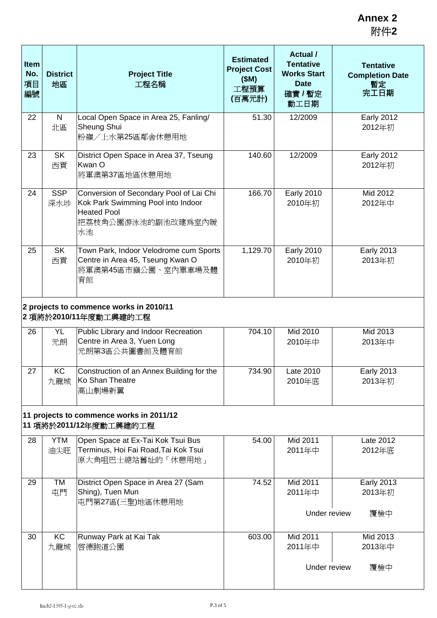| <b>Item</b><br>No.<br>項目<br>編號                                     | <b>District</b><br>地區 | <b>Project Title</b><br>工程名稱                                                                                                    | <b>Estimated</b><br><b>Project Cost</b><br>(SM)<br>工程預算<br>(百萬元計) | <b>Actual</b> /<br><b>Tentative</b><br><b>Works Start</b><br><b>Date</b><br>確實 / 暫定<br>動工日期 | <b>Tentative</b><br><b>Completion Date</b><br>暫定<br>完工日期 |  |  |
|--------------------------------------------------------------------|-----------------------|---------------------------------------------------------------------------------------------------------------------------------|-------------------------------------------------------------------|---------------------------------------------------------------------------------------------|----------------------------------------------------------|--|--|
| 22                                                                 | $\mathsf{N}$<br>北區    | Local Open Space in Area 25, Fanling/<br>Sheung Shui<br>粉嶺/上水第25區鄰舍休憩用地                                                         | 51.30                                                             | 12/2009                                                                                     | <b>Early 2012</b><br>2012年初                              |  |  |
| 23                                                                 | <b>SK</b><br>西貢       | District Open Space in Area 37, Tseung<br>Kwan O<br>將軍澳第37區地區休憩用地                                                               | 140.60                                                            | 12/2009                                                                                     | <b>Early 2012</b><br>2012年初                              |  |  |
| 24                                                                 | <b>SSP</b><br>深水埗     | Conversion of Secondary Pool of Lai Chi<br>Kok Park Swimming Pool into Indoor<br><b>Heated Pool</b><br>把荔枝角公園游泳池的副池改建爲室內暖<br>水池 | 166.70                                                            | <b>Early 2010</b><br>2010年初                                                                 | Mid 2012<br>2012年中                                       |  |  |
| 25                                                                 | <b>SK</b><br>西貢       | Town Park, Indoor Velodrome cum Sports<br>Centre in Area 45, Tseung Kwan O<br>將軍澳第45區市鎭公園、室內單車場及體<br>育館                         | 1,129.70                                                          | <b>Early 2010</b><br>2010年初                                                                 | <b>Early 2013</b><br>2013年初                              |  |  |
| 2 projects to commence works in 2010/11<br>2項將於2010/11年度動工興建的工程    |                       |                                                                                                                                 |                                                                   |                                                                                             |                                                          |  |  |
| 26                                                                 | <b>YL</b><br>元朗       | Public Library and Indoor Recreation<br>Centre in Area 3, Yuen Long<br>元朗第3區公共圖書館及體育館                                           | 704.10                                                            | Mid 2010<br>2010年中                                                                          | Mid 2013<br>2013年中                                       |  |  |
| 27                                                                 | KC<br>九龍城             | Construction of an Annex Building for the<br>Ko Shan Theatre<br>高山劇場新翼                                                          | 734.90                                                            | Late 2010<br>2010年底                                                                         | <b>Early 2013</b><br>2013年初                              |  |  |
| 11 projects to commence works in 2011/12<br>11 項將於2011/12年度動工興建的工程 |                       |                                                                                                                                 |                                                                   |                                                                                             |                                                          |  |  |
| 28                                                                 | <b>YTM</b><br>油尖旺     | Open Space at Ex-Tai Kok Tsui Bus<br>Terminus, Hoi Fai Road, Tai Kok Tsui<br>原大角咀巴士總站舊址的「休憩用地」                                  | 54.00                                                             | Mid 2011<br>2011年中                                                                          | Late 2012<br>2012年底                                      |  |  |
| 29                                                                 | <b>TM</b><br>屯門       | District Open Space in Area 27 (Sam<br>Shing), Tuen Mun<br>屯門第27區(三聖)地區休憩用地                                                     | 74.52                                                             | Mid 2011<br>2011年中<br>Under review                                                          | <b>Early 2013</b><br>2013年初<br>覆檢中                       |  |  |
| 30                                                                 | KC<br>九龍城             | Runway Park at Kai Tak<br>啓德跑道公園                                                                                                | 603.00                                                            | Mid 2011<br>2011年中<br>Under review                                                          | Mid 2013<br>2013年中<br>覆檢中                                |  |  |
|                                                                    |                       |                                                                                                                                 |                                                                   |                                                                                             |                                                          |  |  |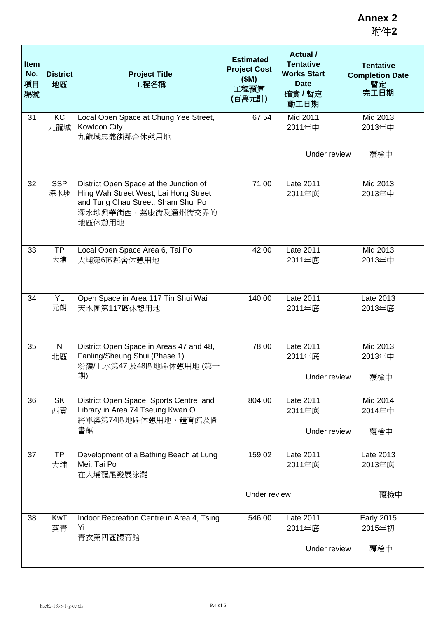| <b>Item</b><br>No.<br>項目<br>編號 | <b>District</b><br>地區 | <b>Project Title</b><br>工程名稱                                                                                                                          | <b>Estimated</b><br><b>Project Cost</b><br>(SM)<br>工程預算<br>(百萬元計) | <b>Actual</b> /<br><b>Tentative</b><br><b>Works Start</b><br><b>Date</b><br>確實 / 暫定<br>動工日期 | <b>Tentative</b><br><b>Completion Date</b><br>暫定<br>完工日期 |  |
|--------------------------------|-----------------------|-------------------------------------------------------------------------------------------------------------------------------------------------------|-------------------------------------------------------------------|---------------------------------------------------------------------------------------------|----------------------------------------------------------|--|
| 31                             | <b>KC</b><br>九龍城      | Local Open Space at Chung Yee Street,<br>Kowloon City<br>九龍城忠義街鄰舍休憩用地                                                                                 | 67.54                                                             | Mid 2011<br>2011年中                                                                          | Mid 2013<br>2013年中                                       |  |
|                                |                       |                                                                                                                                                       |                                                                   | Under review<br>覆檢中                                                                         |                                                          |  |
| 32                             | <b>SSP</b><br>深水埗     | District Open Space at the Junction of<br>Hing Wah Street West, Lai Hong Street<br>and Tung Chau Street, Sham Shui Po<br>深水埗興華街西,荔康街及通州街交界的<br>地區休憩用地 | 71.00                                                             | Late 2011<br>2011年底                                                                         | Mid 2013<br>2013年中                                       |  |
| 33                             | TP<br>大埔              | Local Open Space Area 6, Tai Po<br>大埔第6區鄰舍休憩用地                                                                                                        | 42.00                                                             | Late 2011<br>2011年底                                                                         | Mid 2013<br>2013年中                                       |  |
| 34                             | <b>YL</b><br>元朗       | Open Space in Area 117 Tin Shui Wai<br>天水圍第117區休憩用地                                                                                                   | 140.00                                                            | Late 2011<br>2011年底                                                                         | Late 2013<br>2013年底                                      |  |
| 35                             | $\mathsf{N}$<br>北區    | District Open Space in Areas 47 and 48,<br>Fanling/Sheung Shui (Phase 1)<br>粉嶺/上水第47 及48區地區休憩用地 (第一<br>期)                                             | 78.00                                                             | Late 2011<br>2011年底<br>Under review                                                         | Mid 2013<br>2013年中<br>覆檢中                                |  |
|                                |                       |                                                                                                                                                       |                                                                   |                                                                                             |                                                          |  |
| 36                             | <b>SK</b><br>西貢       | District Open Space, Sports Centre and<br>Library in Area 74 Tseung Kwan O<br>將軍澳第74區地區休憩用地、體育館及圖                                                     | 804.00                                                            | Late 2011<br>2011年底                                                                         | Mid 2014<br>2014年中                                       |  |
|                                |                       | 書館                                                                                                                                                    |                                                                   |                                                                                             | Under review<br>覆檢中                                      |  |
| 37                             | <b>TP</b><br>大埔       | Development of a Bathing Beach at Lung<br>Mei, Tai Po<br>在大埔龍尾發展泳灘                                                                                    | 159.02                                                            | Late 2011<br>2011年底                                                                         | Late 2013<br>2013年底                                      |  |
|                                |                       |                                                                                                                                                       | Under review                                                      |                                                                                             | 覆檢中                                                      |  |
| 38                             | <b>KwT</b><br>葵青      | Indoor Recreation Centre in Area 4, Tsing<br>Yi<br>青衣第四區體育館                                                                                           | 546.00                                                            | Late 2011<br>2011年底                                                                         | <b>Early 2015</b><br>2015年初                              |  |
|                                |                       |                                                                                                                                                       |                                                                   | Under review                                                                                | 覆檢中                                                      |  |